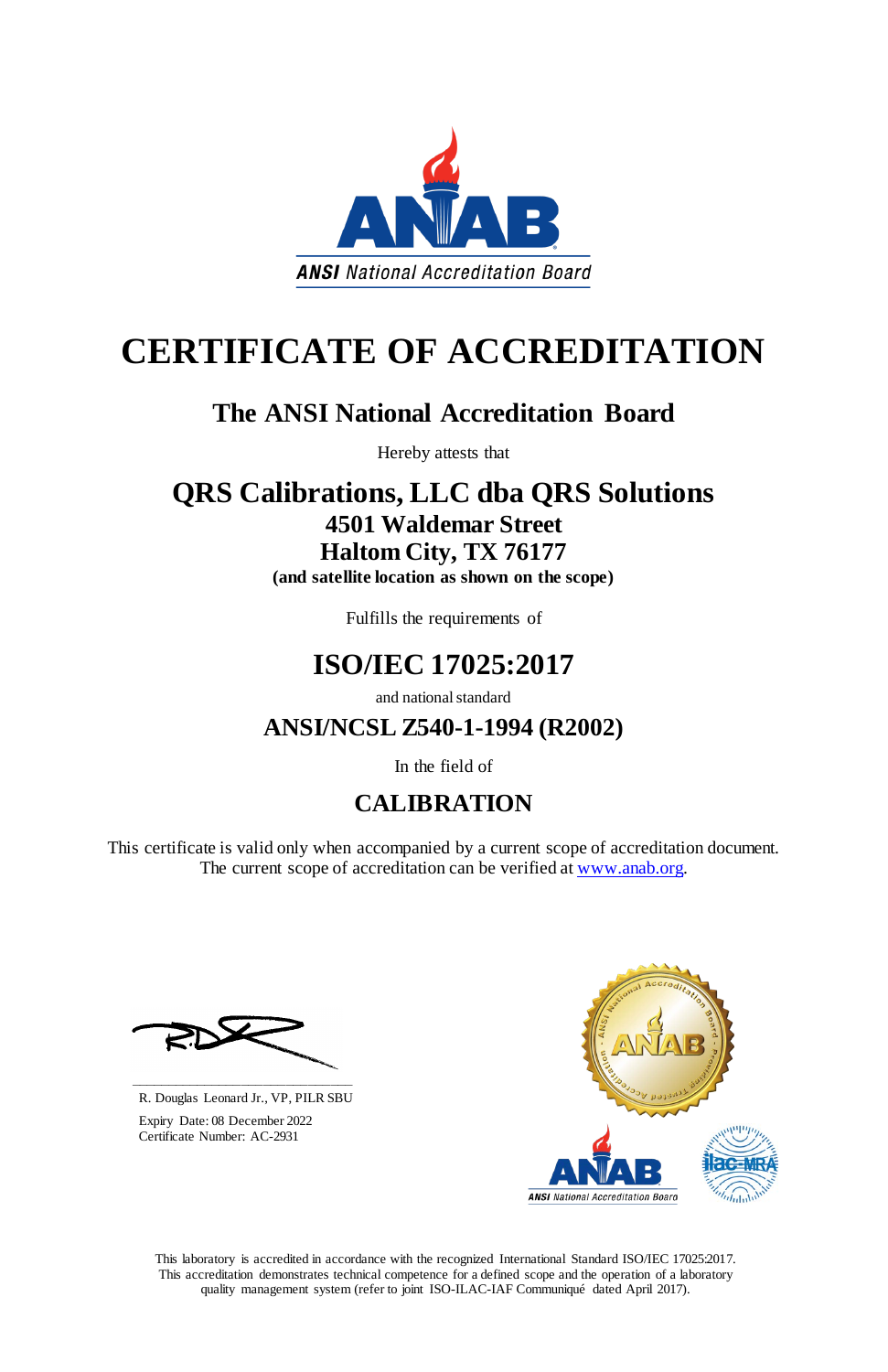This laboratory is accredited in accordance with the recognized International Standard ISO/IEC 17025:2017. This accreditation demonstrates technical competence for a defined scope and the operation of a laboratory quality management system (refer to joint ISO-ILAC-IAF Communiqué dated April 2017).



# **CERTIFICATE OF ACCREDITATION**

This certificate is valid only when accompanied by a current scope of accreditation document. The current scope of accreditation can be verified at [www.anab.org.](http://www.anab.org/)



# **The ANSI National Accreditation Board**

Hereby attests that

# **QRS Calibrations, LLC dba QRS Solutions 4501 Waldemar Street Haltom City, TX 76177**

**(and satellite location as shown on the scope)**

Fulfills the requirements of

# **ISO/IEC 17025:2017**

and national standard

**ANSI/NCSL Z540-1-1994 (R2002)**

In the field of

# **CALIBRATION**

**\_\_\_\_\_\_\_\_\_\_\_\_\_\_\_\_\_\_\_\_\_\_\_\_\_\_\_\_\_\_** R. Douglas Leonard Jr., VP, PILR SBU

 Expiry Date: 08 December 2022 Certificate Number: AC-2931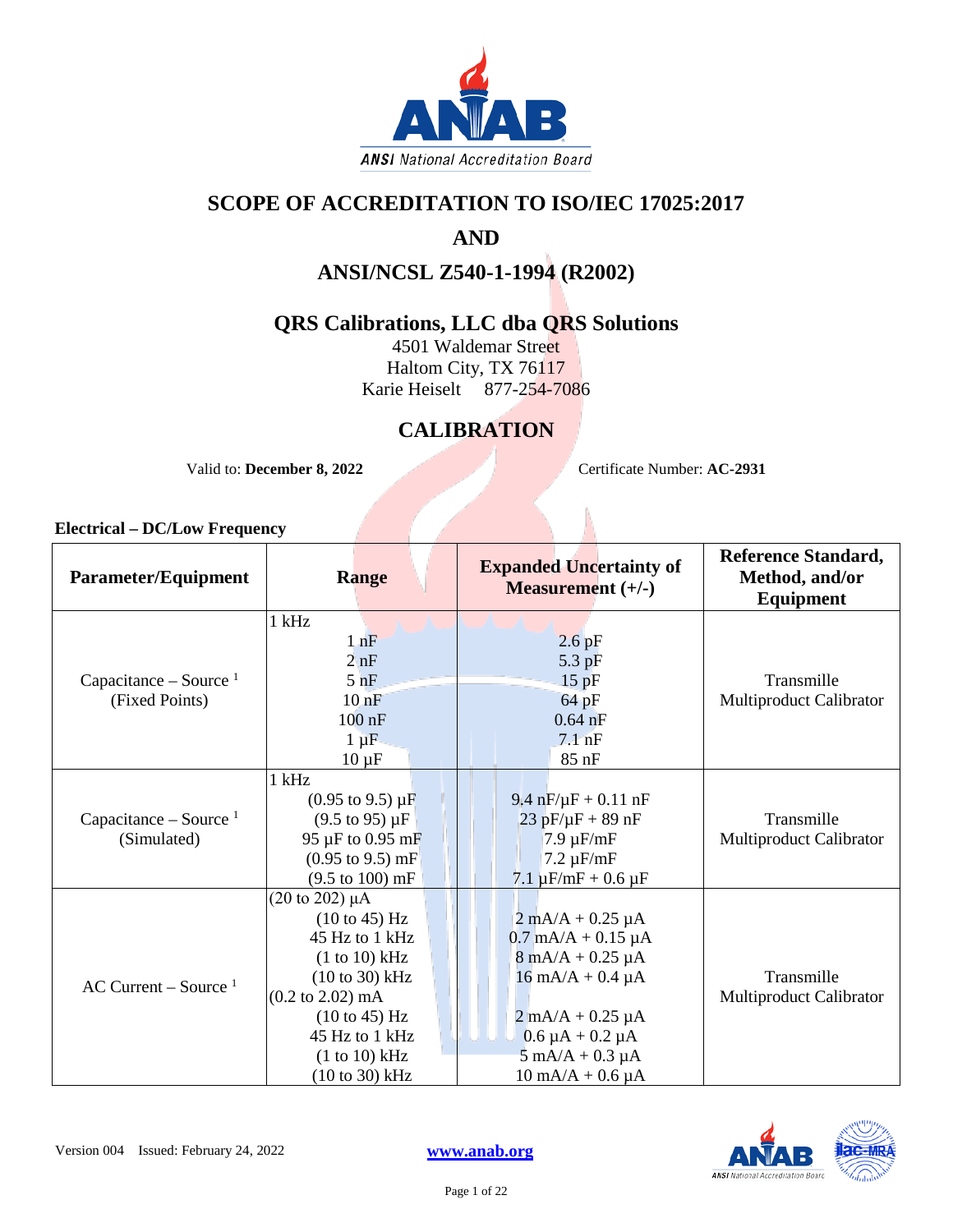

### **SCOPE OF ACCREDITATION TO ISO/IEC 17025:2017**

# **AND**

### **ANSI/NCSL Z540-1-1994 (R2002)**

### **QRS Calibrations, LLC dba QRS Solutions**

4501 Waldemar Street Haltom City, TX 76117 Karie Heiselt 877-254-7086

## **CALIBRATION**

Valid to: **December 8, 2022** Certificate Number: **AC-2931** 

| <b>Parameter/Equipment</b> | <b>Range</b>                         | <b>Expanded Uncertainty of</b><br><b>Measurement</b> $(+/-)$ | <b>Reference Standard,</b><br>Method, and/or<br>Equipment |
|----------------------------|--------------------------------------|--------------------------------------------------------------|-----------------------------------------------------------|
|                            | $1$ kHz                              |                                                              |                                                           |
|                            | $1$ $nF$                             | $2.6$ pF                                                     |                                                           |
|                            | 2nF                                  | $5.3$ pF                                                     |                                                           |
| Capacitance – Source $1$   | $5$ nF                               | 15pF                                                         | Transmille                                                |
| (Fixed Points)             | 10 <sub>nF</sub>                     | 64 pF                                                        | Multiproduct Calibrator                                   |
|                            | $100$ nF                             | $0.64$ nF                                                    |                                                           |
|                            | $1 \mu F$                            | $7.1$ nF                                                     |                                                           |
|                            | $10 \mu F$                           | 85 nF                                                        |                                                           |
|                            | $1$ kHz                              |                                                              |                                                           |
|                            | $(0.95 \text{ to } 9.5) \mu\text{F}$ | $9.4$ nF/ $\mu$ F + 0.11 nF                                  |                                                           |
| Capacitance – Source $1$   | $(9.5 \text{ to } 95) \mu F$         | $23$ pF/ $\mu$ F + 89 nF                                     | Transmille                                                |
| (Simulated)                | 95 µF to 0.95 mF                     | $7.9 \mu F/mF$                                               | Multiproduct Calibrator                                   |
|                            | $(0.95 \text{ to } 9.5) \text{ mF}$  | $7.2 \mu F/mF$                                               |                                                           |
|                            | $(9.5 \text{ to } 100) \text{ mF}$   | $7.1 \mu F/mF + 0.6 \mu F$                                   |                                                           |
|                            | $(20 \text{ to } 202) \mu A$         |                                                              |                                                           |
|                            | $(10 \text{ to } 45)$ Hz             | $2 \text{ mA}/A + 0.25 \mu A$                                |                                                           |
|                            | 45 Hz to 1 kHz                       | $0.7 \text{ mA/A} + 0.15 \text{ }\mu\text{A}$                |                                                           |
| AC Current – Source $1$    | (1 to 10) kHz                        | $8 \text{ mA}/A + 0.25 \mu A$                                |                                                           |
|                            | $(10 to 30)$ kHz                     | $16 \text{ mA/A} + 0.4 \mu\text{A}$                          | Transmille                                                |
|                            | $(0.2 \text{ to } 2.02) \text{ mA}$  |                                                              | Multiproduct Calibrator                                   |
|                            | $(10 \text{ to } 45)$ Hz             | $2 \text{ mA}/A + 0.25 \mu A$                                |                                                           |
|                            | 45 Hz to 1 kHz                       | $0.6 \mu A + 0.2 \mu A$                                      |                                                           |
|                            | (1 to 10) kHz                        | $5 \text{ mA}/A + 0.3 \mu A$                                 |                                                           |
|                            | $(10 \text{ to } 30) \text{ kHz}$    | $10 \text{ mA/A} + 0.6 \mu\text{A}$                          |                                                           |

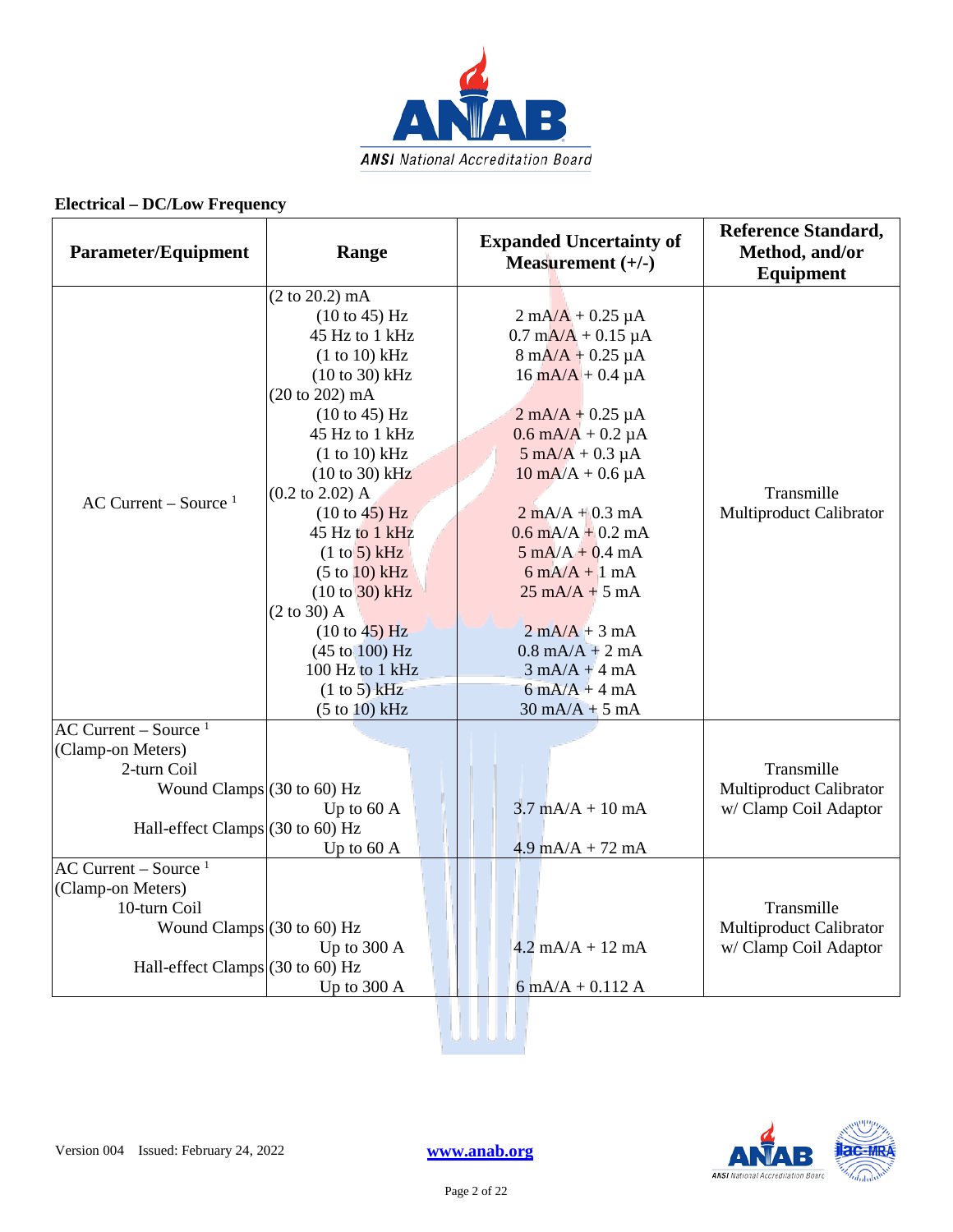

| <b>Parameter/Equipment</b>                                                | Range                                                                                                                                                                                                                                                                                                  | <b>Expanded Uncertainty of</b><br>Measurement $(+/-)$                                                                                                                                                                                                                                                                                                                                                                                                      | <b>Reference Standard,</b><br>Method, and/or<br><b>Equipment</b> |
|---------------------------------------------------------------------------|--------------------------------------------------------------------------------------------------------------------------------------------------------------------------------------------------------------------------------------------------------------------------------------------------------|------------------------------------------------------------------------------------------------------------------------------------------------------------------------------------------------------------------------------------------------------------------------------------------------------------------------------------------------------------------------------------------------------------------------------------------------------------|------------------------------------------------------------------|
| AC Current – Source $1$                                                   | (2 to 20.2) mA<br>(10 to 45) Hz<br>45 Hz to 1 kHz<br>(1 to 10) kHz<br>$(10 to 30)$ kHz<br>(20 to 202) mA<br>(10 to 45) Hz<br>45 Hz to 1 kHz<br>(1 to 10) kHz<br>$(10 to 30)$ kHz<br>$(0.2 \text{ to } 2.02)$ A<br>(10 to 45) Hz<br>45 Hz to 1 kHz<br>(1 to 5) kHz<br>(5 to 10) kHz<br>$(10 to 30)$ kHz | $2 \text{ mA}/\text{A} + 0.25 \text{ }\mu\text{A}$<br>$0.7 \text{ mA/A} + 0.15 \mu\text{A}$<br>$8 \text{ mA/A} + 0.25 \mu\text{A}$<br>$16 \text{ mA/A} + 0.4 \mu\text{A}$<br>$2 \text{ mA}/A + 0.25 \mu A$<br>$0.6$ mA/A + 0.2 µA<br>$5 \text{ mA}/A + 0.3 \mu A$<br>$10 \text{ mA}/A + 0.6 \mu A$<br>$2 mA/A + 0.3 mA$<br>$0.6$ mA/A + 0.2 mA<br>$5 \text{ mA}/A + 0.4 \text{ mA}$<br>$6 \text{ mA}/A + 1 \text{ mA}$<br>$25 \text{ mA/A} + 5 \text{ mA}$ | Transmille<br>Multiproduct Calibrator                            |
|                                                                           | $(2 \text{ to } 30)$ A<br>(10 to 45) Hz<br>$(45 \text{ to } 100) \text{ Hz}$<br>100 Hz to 1 kHz<br>(1 to 5) kHz<br>(5 to 10) kHz                                                                                                                                                                       | $2 mA/A + 3 mA$<br>$0.8 \text{ mA/A} + 2 \text{ mA}$<br>$3 \text{ mA}/A + 4 \text{ mA}$<br>$6 \text{ mA}/A + 4 \text{ mA}$<br>$30 \text{ mA/A} + 5 \text{ mA}$                                                                                                                                                                                                                                                                                             |                                                                  |
| AC Current – Source $1$                                                   |                                                                                                                                                                                                                                                                                                        |                                                                                                                                                                                                                                                                                                                                                                                                                                                            |                                                                  |
| (Clamp-on Meters)                                                         |                                                                                                                                                                                                                                                                                                        |                                                                                                                                                                                                                                                                                                                                                                                                                                                            |                                                                  |
| 2-turn Coil                                                               |                                                                                                                                                                                                                                                                                                        |                                                                                                                                                                                                                                                                                                                                                                                                                                                            | Transmille                                                       |
| Wound Clamps $(30 \text{ to } 60)$ Hz<br>Hall-effect Clamps (30 to 60) Hz | Up to 60 A                                                                                                                                                                                                                                                                                             | $3.7 \text{ mA/A} + 10 \text{ mA}$                                                                                                                                                                                                                                                                                                                                                                                                                         | Multiproduct Calibrator<br>w/ Clamp Coil Adaptor                 |
|                                                                           | Up to 60 A                                                                                                                                                                                                                                                                                             | $4.9 \text{ mA/A} + 72 \text{ mA}$                                                                                                                                                                                                                                                                                                                                                                                                                         |                                                                  |
| AC Current – Source $1$                                                   |                                                                                                                                                                                                                                                                                                        |                                                                                                                                                                                                                                                                                                                                                                                                                                                            |                                                                  |
| (Clamp-on Meters)                                                         |                                                                                                                                                                                                                                                                                                        |                                                                                                                                                                                                                                                                                                                                                                                                                                                            |                                                                  |
| 10-turn Coil                                                              |                                                                                                                                                                                                                                                                                                        |                                                                                                                                                                                                                                                                                                                                                                                                                                                            | Transmille                                                       |
| Wound Clamps $(30 \text{ to } 60)$ Hz                                     |                                                                                                                                                                                                                                                                                                        |                                                                                                                                                                                                                                                                                                                                                                                                                                                            | Multiproduct Calibrator                                          |
|                                                                           |                                                                                                                                                                                                                                                                                                        | $4.2 \text{ mA}/A + 12 \text{ mA}$                                                                                                                                                                                                                                                                                                                                                                                                                         |                                                                  |
|                                                                           | Up to 300 A                                                                                                                                                                                                                                                                                            |                                                                                                                                                                                                                                                                                                                                                                                                                                                            | w/ Clamp Coil Adaptor                                            |
| Hall-effect Clamps (30 to 60) Hz                                          |                                                                                                                                                                                                                                                                                                        |                                                                                                                                                                                                                                                                                                                                                                                                                                                            |                                                                  |
|                                                                           | Up to 300 A                                                                                                                                                                                                                                                                                            | $6$ mA/A + 0.112 A                                                                                                                                                                                                                                                                                                                                                                                                                                         |                                                                  |

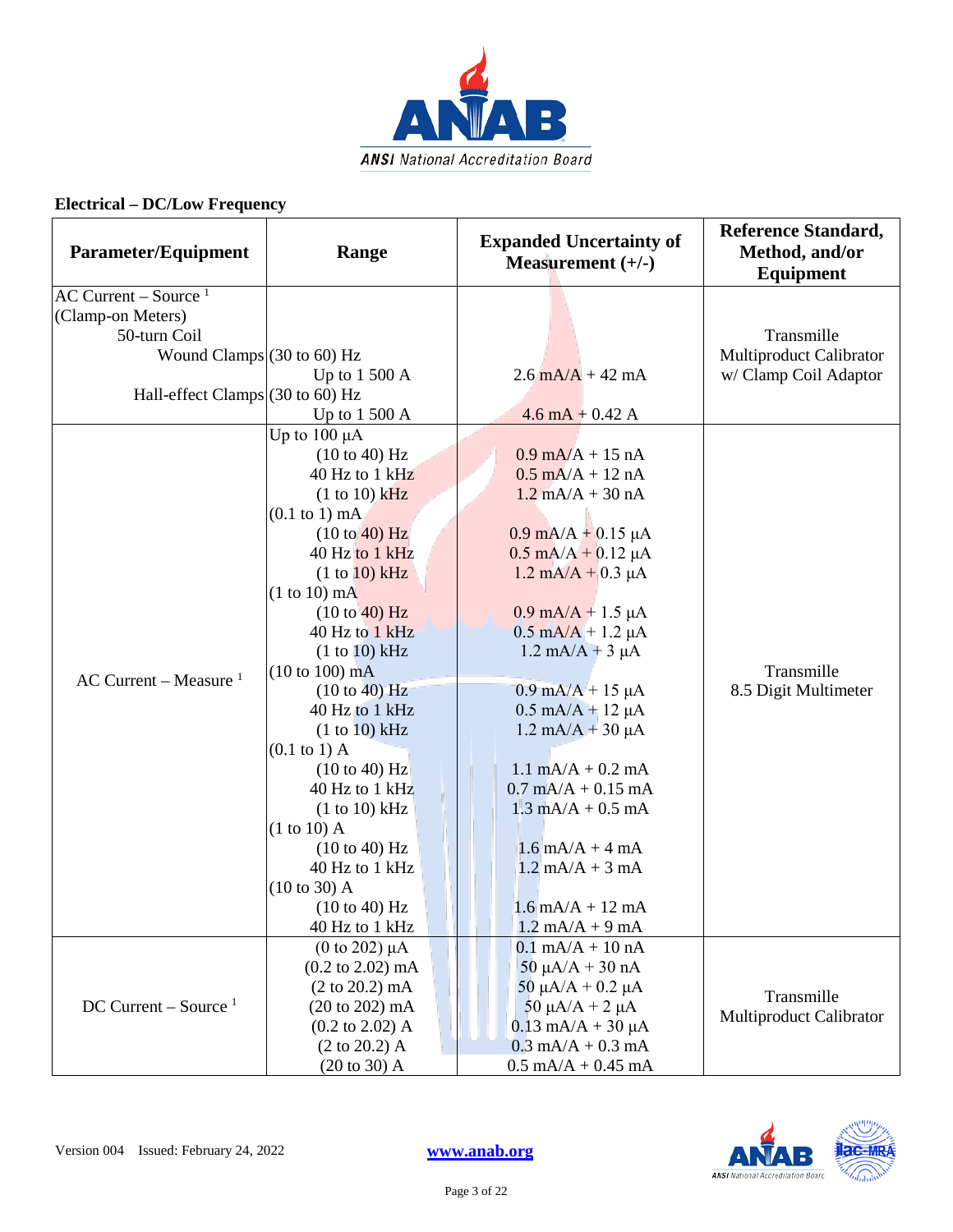

| <b>Parameter/Equipment</b>                  | Range                               | <b>Expanded Uncertainty of</b><br>Measurement $(+/-)$ | <b>Reference Standard,</b><br>Method, and/or<br><b>Equipment</b> |
|---------------------------------------------|-------------------------------------|-------------------------------------------------------|------------------------------------------------------------------|
| $AC$ Current – Source <sup>1</sup>          |                                     |                                                       |                                                                  |
| (Clamp-on Meters)                           |                                     |                                                       |                                                                  |
| 50-turn Coil                                |                                     |                                                       | Transmille                                                       |
| Wound Clamps $(30 \text{ to } 60)$ Hz       |                                     |                                                       | Multiproduct Calibrator                                          |
|                                             | Up to $1500 \text{ A}$              | $2.6 \text{ mA/A} + 42 \text{ mA}$                    | w/ Clamp Coil Adaptor                                            |
| Hall-effect Clamps $(30 \text{ to } 60)$ Hz |                                     |                                                       |                                                                  |
|                                             | Up to 1 500 A                       | $4.6 \text{ mA} + 0.42 \text{ A}$                     |                                                                  |
|                                             | Up to $100 \mu A$                   |                                                       |                                                                  |
|                                             | $(10 \text{ to } 40)$ Hz            | $0.9 \text{ mA/A} + 15 \text{ nA}$                    |                                                                  |
|                                             | 40 Hz to 1 kHz                      | $0.5$ mA/A + 12 nA                                    |                                                                  |
|                                             | $(1 to 10)$ kHz                     | $1.2$ mA/A + 30 nA                                    |                                                                  |
|                                             | $(0.1$ to 1) mA                     |                                                       |                                                                  |
|                                             | $(10 \text{ to } 40)$ Hz            | $0.9 \text{ mA/A} + 0.15 \mu\text{A}$                 |                                                                  |
|                                             | 40 Hz to 1 kHz                      | $0.5$ mA/A + 0.12 µA                                  |                                                                  |
|                                             | (1 to 10) kHz                       | $1.2 \text{ mA/A} + 0.3 \text{ }\mu\text{A}$          |                                                                  |
|                                             | $(1 to 10)$ mA                      |                                                       |                                                                  |
|                                             | (10 to 40) Hz                       | $0.9 \text{ mA/A} + 1.5 \mu\text{A}$                  |                                                                  |
|                                             | 40 Hz to 1 kHz                      | $0.5 \text{ mA/A} + 1.2 \mu\text{A}$                  |                                                                  |
|                                             | (1 to 10) kHz                       | $1.2 \text{ mA}/A + 3 \mu A$                          |                                                                  |
| AC Current – Measure $1$                    | $(10 \text{ to } 100) \text{ mA}$   |                                                       | Transmille                                                       |
|                                             | (10 to 40) Hz                       | $0.9 \text{ mA/A} + 15 \mu\text{A}$                   | 8.5 Digit Multimeter                                             |
|                                             | 40 Hz to 1 kHz                      | $0.5 \text{ mA/A} + 12 \mu\text{A}$                   |                                                                  |
|                                             | (1 to 10) kHz                       | $1.2 \text{ mA/A} + 30 \mu\text{A}$                   |                                                                  |
|                                             | $(0.1$ to 1) A                      |                                                       |                                                                  |
|                                             | (10 to 40) Hz<br>40 Hz to 1 kHz     | $1.1$ mA/A + 0.2 mA<br>$0.7$ mA/A + $0.15$ mA         |                                                                  |
|                                             |                                     | $1.3 \text{ mA/A} + 0.5 \text{ mA}$                   |                                                                  |
|                                             | (1 to 10) kHz<br>$(1 to 10)$ A      |                                                       |                                                                  |
|                                             | (10 to 40) Hz                       | $1.6$ mA/A + 4 mA                                     |                                                                  |
|                                             | 40 Hz to 1 kHz                      | $1.2$ mA/A + 3 mA                                     |                                                                  |
|                                             | $(10 \text{ to } 30)$ A             |                                                       |                                                                  |
|                                             | (10 to 40) Hz                       | $1.6$ mA/A + 12 mA                                    |                                                                  |
|                                             | 40 Hz to 1 kHz                      | $1.2 \text{ mA/A} + 9 \text{ mA}$                     |                                                                  |
|                                             | $(0 \text{ to } 202) \mu A$         | $0.1 \text{ mA/A} + 10 \text{ nA}$                    |                                                                  |
|                                             | $(0.2 \text{ to } 2.02) \text{ mA}$ | $50 \mu A/A + 30 nA$                                  |                                                                  |
| $DC$ Current – Source <sup>1</sup>          | $(2 \text{ to } 20.2) \text{ mA}$   | $50 \mu A/A + 0.2 \mu A$                              |                                                                  |
|                                             | $(20 \text{ to } 202) \text{ mA}$   | 50 $\mu$ A/A + 2 $\mu$ A                              | Transmille                                                       |
|                                             | $(0.2 \text{ to } 2.02)$ A          | $0.13$ mA/A + 30 $\mu$ A                              | Multiproduct Calibrator                                          |
|                                             | $(2 \text{ to } 20.2)$ A            | $0.3$ mA/A + 0.3 mA                                   |                                                                  |
|                                             | $(20 \text{ to } 30)$ A             | $0.5 \text{ mA/A} + 0.45 \text{ mA}$                  |                                                                  |

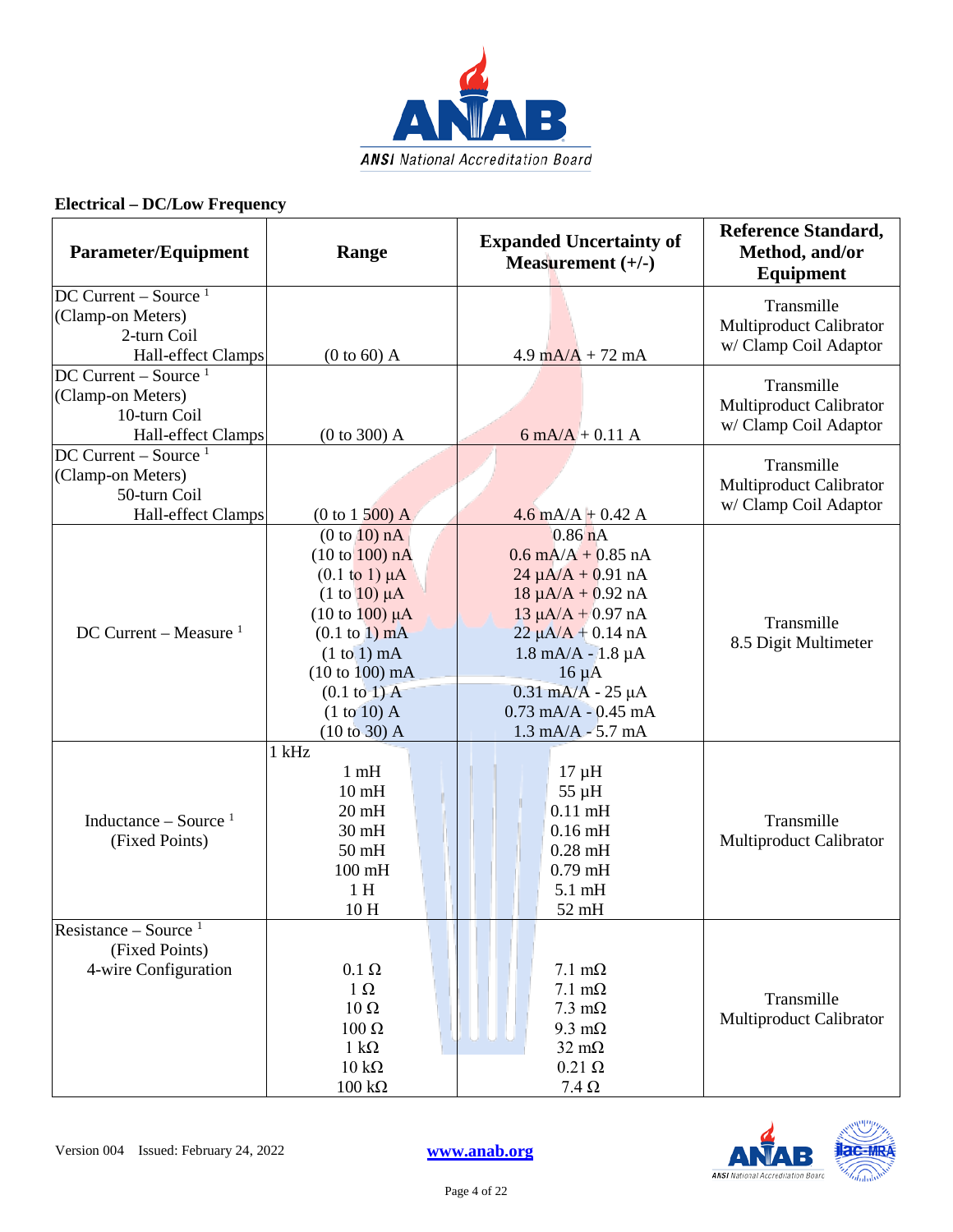

| Parameter/Equipment                                      | Range                            | <b>Expanded Uncertainty of</b><br>Measurement $(+/-)$ | <b>Reference Standard,</b><br>Method, and/or<br><b>Equipment</b> |
|----------------------------------------------------------|----------------------------------|-------------------------------------------------------|------------------------------------------------------------------|
| $DC$ Current – Source <sup>1</sup>                       |                                  |                                                       | Transmille                                                       |
| (Clamp-on Meters)                                        |                                  |                                                       | Multiproduct Calibrator                                          |
| 2-turn Coil                                              |                                  |                                                       | w/ Clamp Coil Adaptor                                            |
| Hall-effect Clamps<br>$DC$ Current – Source <sup>1</sup> | $(0 to 60)$ A                    | $4.9 \text{ mA/A} + 72 \text{ mA}$                    |                                                                  |
| (Clamp-on Meters)                                        |                                  |                                                       | Transmille                                                       |
| 10-turn Coil                                             |                                  |                                                       | Multiproduct Calibrator                                          |
| Hall-effect Clamps                                       | (0 to 300) A                     | $6 \text{ mA}/A + 0.11 \text{ A}$                     | w/ Clamp Coil Adaptor                                            |
| $DC$ Current – Source <sup>1</sup>                       |                                  |                                                       |                                                                  |
| (Clamp-on Meters)                                        |                                  |                                                       | Transmille                                                       |
| 50-turn Coil                                             |                                  |                                                       | Multiproduct Calibrator                                          |
| Hall-effect Clamps                                       | $(0 to 1500)$ A                  | $4.6$ mA/A + 0.42 A                                   | w/ Clamp Coil Adaptor                                            |
|                                                          | (0 to 10) nA                     | $0.86$ nA                                             |                                                                  |
|                                                          | (10 to 100) nA                   | $0.6 \text{ mA/A} + 0.85 \text{ nA}$                  |                                                                  |
|                                                          | $(0.1 \text{ to } 1) \mu A$      | $24 \mu A/A + 0.91 \text{ nA}$                        |                                                                  |
|                                                          | $(1 \text{ to } 10) \mu A$       | $18 \mu A/A + 0.92 nA$                                |                                                                  |
|                                                          | $(10 \text{ to } 100) \mu A$     | $13 \mu A/A + 0.97 nA$                                | Transmille                                                       |
| DC Current – Measure $1$                                 | $(0.1 \text{ to } 1) \text{ mA}$ | $22 \mu A/A + 0.14 nA$                                | 8.5 Digit Multimeter                                             |
|                                                          | $(1 to 1)$ mA                    | $1.8$ mA/A - $1.8$ µA                                 |                                                                  |
|                                                          | $(10 to 100)$ mA                 | $16 \mu A$                                            |                                                                  |
|                                                          | $(0.1 \text{ to } 1)$ A          | $0.31$ mA/A - 25 µA                                   |                                                                  |
|                                                          | $(1 to 10)$ A                    | $0.73$ mA/A - $0.45$ mA                               |                                                                  |
|                                                          | (10 to 30) A                     | $1.3 \text{ mA/A} - 5.7 \text{ mA}$                   |                                                                  |
|                                                          | $1$ kHz                          |                                                       |                                                                  |
|                                                          | 1 <sub>m</sub> H                 | $17 \mu H$                                            |                                                                  |
|                                                          | 10 <sub>mH</sub>                 | $55 \mu H$<br>$0.11$ mH                               |                                                                  |
| Inductance – Source $1$                                  | $20 \text{ mH}$<br>$30$ mH       | $0.16$ mH                                             | Transmille                                                       |
| (Fixed Points)                                           | $50$ mH                          | $0.28$ mH                                             | Multiproduct Calibrator                                          |
|                                                          | $100$ mH                         | $0.79$ mH                                             |                                                                  |
|                                                          | 1H                               | $5.1 \text{ mH}$                                      |                                                                  |
|                                                          | 10H                              | 52 mH                                                 |                                                                  |
| Resistance – Source $1$                                  |                                  |                                                       |                                                                  |
| (Fixed Points)                                           |                                  |                                                       |                                                                  |
| 4-wire Configuration                                     | $0.1~\Omega$                     | $7.1 \text{ m}\Omega$                                 |                                                                  |
|                                                          | $1 \Omega$                       | $7.1 \text{ m}\Omega$                                 |                                                                  |
|                                                          | $10\ \Omega$                     | $7.3 \text{ }\mathrm{m}\Omega$                        | Transmille                                                       |
|                                                          | 100 Ω                            | $9.3 \text{ m}\Omega$                                 | Multiproduct Calibrator                                          |
|                                                          | $1 \text{ k}\Omega$              | $32 \text{ m}\Omega$                                  |                                                                  |
|                                                          | $10 \text{ k}\Omega$             | $0.21 \Omega$                                         |                                                                  |
|                                                          | $100 \text{ k}\Omega$            | $7.4\,\Omega$                                         |                                                                  |

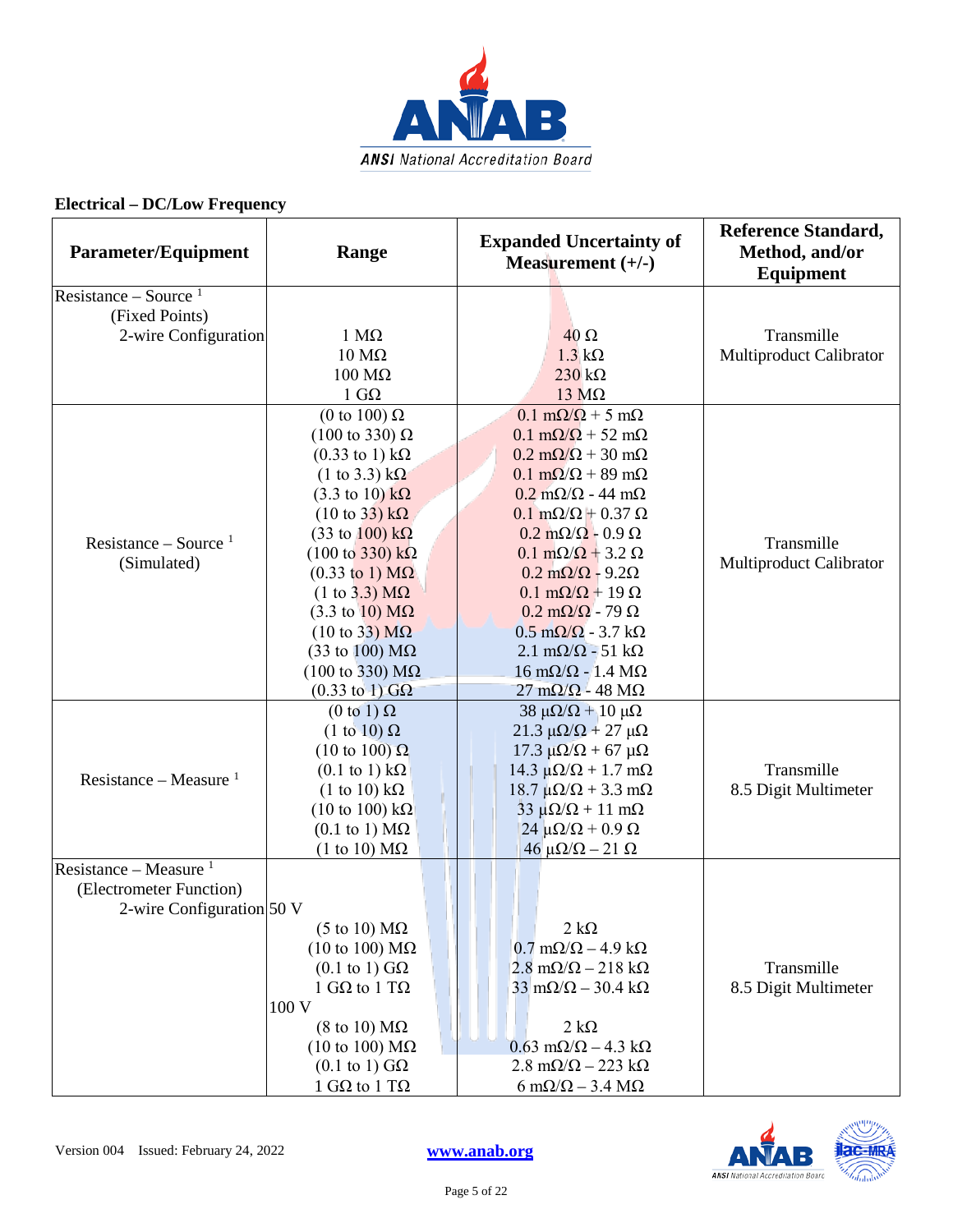

| <b>Parameter/Equipment</b>        | Range                                   | <b>Expanded Uncertainty of</b><br>Measurement $(+/-)$ | <b>Reference Standard,</b><br>Method, and/or<br><b>Equipment</b> |
|-----------------------------------|-----------------------------------------|-------------------------------------------------------|------------------------------------------------------------------|
| Resistance – Source $1$           |                                         |                                                       |                                                                  |
| (Fixed Points)                    |                                         |                                                       |                                                                  |
| 2-wire Configuration              | $1 M\Omega$                             | $40\Omega$                                            | Transmille                                                       |
|                                   | $10 \text{ M}\Omega$                    | $1.3 \text{ k}\Omega$                                 | Multiproduct Calibrator                                          |
|                                   | $100 \text{ M}\Omega$                   | $230 k\Omega$                                         |                                                                  |
|                                   | $1 \text{ } G\Omega$                    | $13 \text{ M}\Omega$                                  |                                                                  |
|                                   | (0 to 100) $\Omega$                     | $0.1 \text{ m}\Omega/\Omega + 5 \text{ m}\Omega$      |                                                                  |
|                                   | $(100 \text{ to } 330) \Omega$          | $0.1 \text{ m}\Omega/\Omega$ + 52 m $\Omega$          |                                                                  |
|                                   | $(0.33 \text{ to } 1) \text{ k}\Omega$  | $0.2 \text{ m}\Omega/\Omega$ + 30 m $\Omega$          |                                                                  |
|                                   | $(1 \text{ to } 3.3) \text{ k}\Omega$   | $0.1 \text{ m}\Omega/\Omega$ + 89 m $\Omega$          |                                                                  |
|                                   | $(3.3 \text{ to } 10) \text{ k}\Omega$  | $0.2 \text{ m}\Omega/\Omega$ - 44 m $\Omega$          |                                                                  |
|                                   | $(10 \text{ to } 33) \text{ k}\Omega$   | $0.1 \text{ m}\Omega/\Omega + 0.37 \Omega$            |                                                                  |
| Resistance – Source $1$           | $(33 \text{ to } 100) \text{ k}\Omega$  | $0.2 \text{ m}\Omega/\Omega$ - 0.9 $\Omega$           | Transmille                                                       |
| (Simulated)                       | $(100 \text{ to } 330) \text{ k}\Omega$ | $0.1 \text{ m}\Omega/\Omega + 3.2 \Omega$             | <b>Multiproduct Calibrator</b>                                   |
|                                   | $(0.33 \text{ to } 1) \text{ M}\Omega$  | $0.2 \text{ m}\Omega/\Omega$ - 9.2 $\Omega$           |                                                                  |
|                                   | $(1 \text{ to } 3.3) \text{ M}\Omega$   | $0.1 \text{ m}\Omega/\Omega + 19 \Omega$              |                                                                  |
|                                   | $(3.3 \text{ to } 10) \text{ M}\Omega$  | $0.2 \text{ m}\Omega/\Omega$ - 79 $\Omega$            |                                                                  |
|                                   | $(10 \text{ to } 33) \text{ M}\Omega$   | $0.5 \text{ m}\Omega/\Omega$ - 3.7 k $\Omega$         |                                                                  |
|                                   | (33 to 100) $\text{M}\Omega$            | $2.1 \text{ m}\Omega/\Omega$ - 51 k $\Omega$          |                                                                  |
|                                   | $(100 \text{ to } 330) \text{ M}\Omega$ | $16 \text{ m}\Omega/\Omega$ - 1.4 M $\Omega$          |                                                                  |
|                                   | $(0.33 \text{ to } 1)$ GQ               | $27 \text{ mA}/\Omega$ - 48 M $\Omega$                |                                                                  |
|                                   | $(0 \text{ to } 1) \Omega$              | $38 \mu\Omega/\Omega + 10 \mu\Omega$                  |                                                                  |
|                                   | $(1 \text{ to } 10) \Omega$             | $21.3$ μ $\Omega/\Omega$ + 27 μ $\Omega$              |                                                                  |
|                                   | $(10 \text{ to } 100) \Omega$           | $17.3$ μΩ/Ω + 67 μΩ                                   |                                                                  |
| Resistance – Measure $1$          | $(0.1 \text{ to } 1) \text{ k}\Omega$   | 14.3 $\mu\Omega/\Omega$ + 1.7 m $\Omega$              | Transmille                                                       |
|                                   | $(1 \text{ to } 10) \text{ k}\Omega$    | $18.7 \mu\Omega/\Omega + 3.3 \text{ mA}$              | 8.5 Digit Multimeter                                             |
|                                   | $(10 \text{ to } 100) \text{ k}\Omega$  | $33 \mu\Omega/\Omega + 11 \text{ mA}$                 |                                                                  |
|                                   | $(0.1 \text{ to } 1) \text{ M}\Omega$   | $24 \mu\Omega/\Omega + 0.9 \Omega$                    |                                                                  |
|                                   | $(1 \text{ to } 10) \text{ M}\Omega$    | $46 \mu\Omega/\Omega - 21 \Omega$                     |                                                                  |
| Resistance – Measure <sup>1</sup> |                                         |                                                       |                                                                  |
| (Electrometer Function)           |                                         |                                                       |                                                                  |
| 2-wire Configuration 50 V         |                                         |                                                       |                                                                  |
|                                   | (5 to 10) $M\Omega$                     | $2 k\Omega$                                           |                                                                  |
|                                   | (10 to 100) $M\Omega$                   | $0.7 \text{ mA}/\Omega - 4.9 \text{ k}\Omega$         |                                                                  |
|                                   | $(0.1 \text{ to } 1) \text{ G}\Omega$   | $2.8 \text{ m}\Omega/\Omega - 218 \text{ k}\Omega$    | Transmille                                                       |
|                                   | 1 G $\Omega$ to 1 T $\Omega$            | $33 \text{ mA}/\Omega - 30.4 \text{ k}\Omega$         | 8.5 Digit Multimeter                                             |
|                                   | 100 V                                   |                                                       |                                                                  |
|                                   | $(8 \text{ to } 10) \text{ M}\Omega$    | $2 k\Omega$                                           |                                                                  |
|                                   | $(10 \text{ to } 100) \text{ M}\Omega$  | $0.63$ m $\Omega/\Omega$ – 4.3 k $\Omega$             |                                                                  |
|                                   | $(0.1 \text{ to } 1) \text{ G}\Omega$   | $2.8 \text{ m}\Omega/\Omega - 223 \text{ k}\Omega$    |                                                                  |
|                                   | 1 GΩ to 1 TΩ                            | $6 \text{ mA}/\Omega - 3.4 \text{ M}\Omega$           |                                                                  |

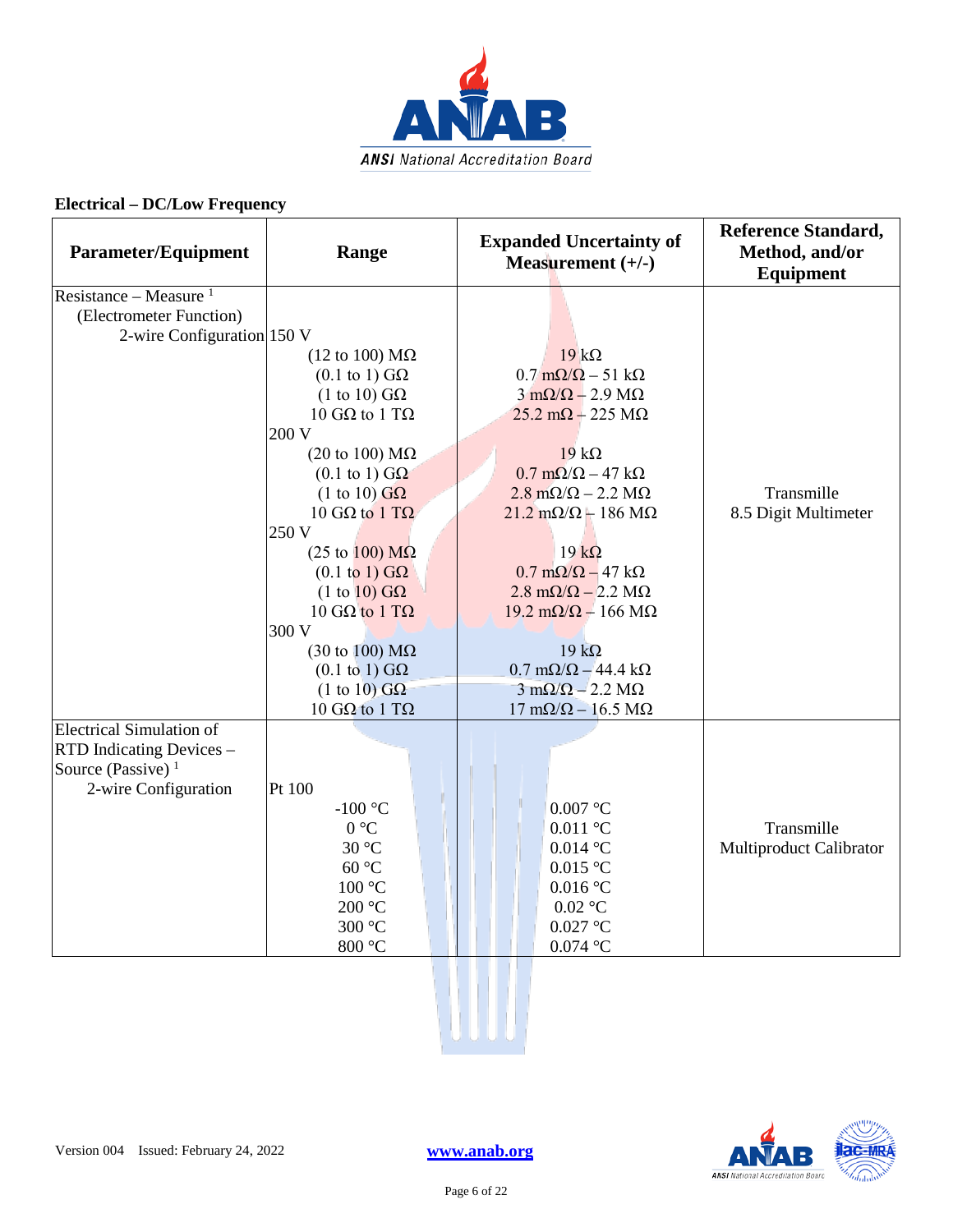

| <b>Parameter/Equipment</b>                                                                                  | Range                                                                                                                                                                                                                                                                                                                                                                                                                                                      | <b>Expanded Uncertainty of</b><br>Measurement $(+/-)$                                                                                                                                                                                                                                                                                                                                                                                                                                                                                      | <b>Reference Standard,</b><br>Method, and/or<br><b>Equipment</b> |
|-------------------------------------------------------------------------------------------------------------|------------------------------------------------------------------------------------------------------------------------------------------------------------------------------------------------------------------------------------------------------------------------------------------------------------------------------------------------------------------------------------------------------------------------------------------------------------|--------------------------------------------------------------------------------------------------------------------------------------------------------------------------------------------------------------------------------------------------------------------------------------------------------------------------------------------------------------------------------------------------------------------------------------------------------------------------------------------------------------------------------------------|------------------------------------------------------------------|
| Resistance – Measure $1$<br>(Electrometer Function)<br>2-wire Configuration 150 V                           | $(12 \text{ to } 100) \text{ M}\Omega$<br>$(0.1 \text{ to } 1) \text{ G}\Omega$<br>$(1 \text{ to } 10) \text{ G}\Omega$<br>10 GΩ to 1 TΩ<br>200 V<br>(20 to 100) $M\Omega$<br>$(0.1 \text{ to } 1) \text{ G}\Omega$<br>$(1 \text{ to } 10)$ GQ<br>10 GΩ to 1 TΩ<br>250 V<br>$(25 \text{ to } 100) \text{ M}\Omega$<br>$(0.1 \text{ to } 1) \text{ G}\Omega$<br>$(1 \text{ to } 10)$ GQ<br>10 GΩ to 1 TΩ<br>300 V<br>$(30 \text{ to } 100) \text{ M}\Omega$ | $19 k\Omega$<br>$0.7 \text{ m}\Omega/\Omega - 51 \text{ k}\Omega$<br>$3 \text{ mA}/\Omega - 2.9 \text{ M}\Omega$<br>$25.2 \text{ mA} + 225 \text{ M}\Omega$<br>$19 k\Omega$<br>$0.7 \text{ m}\Omega/\Omega - 47 \text{ k}\Omega$<br>$2.8 \text{ m}\Omega/\Omega - 2.2 \text{ M}\Omega$<br>$21.2 \text{ mA}/\Omega + 186 \text{ M}\Omega$<br>$19 k\Omega$<br>$0.7 \text{ m}\Omega/\Omega - 47 \text{ k}\Omega$<br>$2.8 \text{ m}\Omega/\Omega - 2.2 \text{ M}\Omega$<br>$19.2 \text{ m}\Omega/\Omega - 166 \text{ M}\Omega$<br>$19 k\Omega$ | Transmille<br>8.5 Digit Multimeter                               |
|                                                                                                             | $(0.1 \text{ to } 1) \text{ G}\Omega$<br>$(1 to 10)$ GQ<br>10 GΩ to 1 TΩ                                                                                                                                                                                                                                                                                                                                                                                   | $0.7 \text{ mA}/\Omega - 44.4 \text{ k}\Omega$<br>$3 \text{ mA}/\Omega - 2.2 \text{ M}\Omega$<br>$17 \text{ mA}/\Omega - 16.5 \text{ M}\Omega$                                                                                                                                                                                                                                                                                                                                                                                             |                                                                  |
| <b>Electrical Simulation of</b><br>RTD Indicating Devices -<br>Source (Passive) $1$<br>2-wire Configuration | Pt 100<br>-100 $\,^{\circ}$ C<br>0 °C<br>30 °C<br>60 °C<br>$100\text{ °C}$<br>$200\text{ }^{\circ}\mathrm{C}$<br>300 °C<br>$800\ ^{\circ}\textrm{C}$                                                                                                                                                                                                                                                                                                       | $0.007$ °C<br>$0.011$ °C<br>$0.014$ °C<br>$0.015$ °C<br>$0.016$ °C<br>$0.02$ °C<br>$0.027$ °C<br>$0.074$ °C                                                                                                                                                                                                                                                                                                                                                                                                                                | Transmille<br>Multiproduct Calibrator                            |
|                                                                                                             |                                                                                                                                                                                                                                                                                                                                                                                                                                                            |                                                                                                                                                                                                                                                                                                                                                                                                                                                                                                                                            |                                                                  |

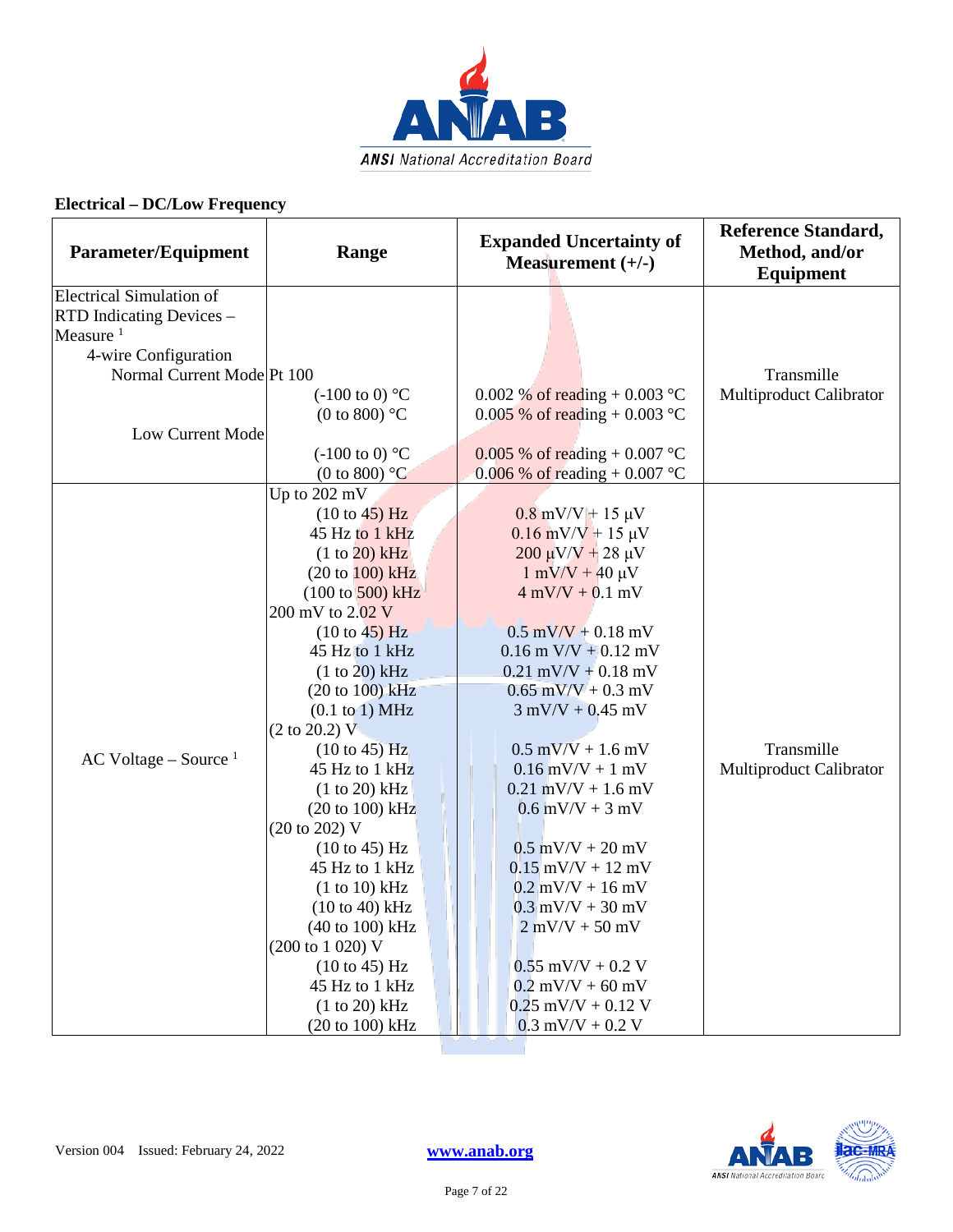

| <b>Parameter/Equipment</b>                                                                           | Range                                                                 | <b>Expanded Uncertainty of</b><br>Measurement $(+/-)$          | <b>Reference Standard,</b><br>Method, and/or<br>Equipment |
|------------------------------------------------------------------------------------------------------|-----------------------------------------------------------------------|----------------------------------------------------------------|-----------------------------------------------------------|
| Electrical Simulation of<br>RTD Indicating Devices -<br>Measure <sup>1</sup><br>4-wire Configuration |                                                                       |                                                                |                                                           |
| Normal Current Mode Pt 100                                                                           |                                                                       |                                                                | Transmille                                                |
| Low Current Mode                                                                                     | $(-100 \text{ to } 0)$ °C<br>(0 to 800) $^{\circ}$ C                  | 0.002 % of reading + 0.003 °C<br>0.005 % of reading + 0.003 °C | Multiproduct Calibrator                                   |
|                                                                                                      | $(-100 \text{ to } 0)$ °C                                             | 0.005 % of reading + 0.007 °C                                  |                                                           |
|                                                                                                      | (0 to 800) $^{\circ}$ C                                               | 0.006 % of reading $+0.007$ °C                                 |                                                           |
|                                                                                                      | Up to 202 mV                                                          |                                                                |                                                           |
|                                                                                                      | (10 to 45) Hz                                                         | $0.8$ mV/V + 15 µV                                             |                                                           |
|                                                                                                      | 45 Hz to 1 kHz                                                        | $0.16$ mV/V + 15 µV                                            |                                                           |
|                                                                                                      | (1 to 20) kHz                                                         | $200 \mu V/V + 28 \mu V$                                       |                                                           |
|                                                                                                      | $(20 \text{ to } 100) \text{ kHz}$                                    | $1 \text{ mV/V} + 40 \text{ \mu V}$                            |                                                           |
|                                                                                                      | $(100 \text{ to } 500) \text{ kHz}$                                   | $4$ mV/V + 0.1 mV                                              |                                                           |
|                                                                                                      | 200 mV to 2.02 V                                                      |                                                                |                                                           |
|                                                                                                      | $(10 \text{ to } 45)$ Hz                                              | $0.5$ mV/V + 0.18 mV                                           |                                                           |
|                                                                                                      | 45 Hz to 1 kHz                                                        | $0.16$ m V/V + $0.12$ mV                                       |                                                           |
|                                                                                                      | $(1 to 20)$ kHz                                                       | $0.21$ mV/V + $0.18$ mV                                        |                                                           |
|                                                                                                      | $(20 to 100)$ kHz                                                     | $0.65$ mV/V + 0.3 mV                                           |                                                           |
|                                                                                                      | $(0.1 \text{ to } 1) \text{ MHz}$<br>$(2 \text{ to } 20.2) \text{ V}$ | $3$ mV/V + 0.45 mV                                             |                                                           |
| $AC$ Voltage – Source $1$                                                                            | $(10 \text{ to } 45)$ Hz                                              | $0.5$ mV/V + 1.6 mV                                            | Transmille                                                |
|                                                                                                      | 45 Hz to 1 kHz                                                        | $0.16$ mV/V + 1 mV                                             | Multiproduct Calibrator                                   |
|                                                                                                      | $(1 to 20)$ kHz                                                       | $0.21$ mV/V + 1.6 mV                                           |                                                           |
|                                                                                                      | $(20 to 100)$ kHz                                                     | $0.6$ mV/V + 3 mV                                              |                                                           |
|                                                                                                      | (20 to 202) V                                                         |                                                                |                                                           |
|                                                                                                      | $(10 \text{ to } 45)$ Hz                                              | $0.5$ mV/V + 20 mV                                             |                                                           |
|                                                                                                      | 45 Hz to 1 kHz                                                        | $0.15$ mV/V + 12 mV                                            |                                                           |
|                                                                                                      | (1 to 10) kHz                                                         | $0.2$ mV/V + 16 mV                                             |                                                           |
|                                                                                                      | $(10 to 40)$ kHz<br>(40 to 100) kHz                                   | $0.3$ mV/V + 30 mV<br>$2$ mV/V + 50 mV                         |                                                           |
|                                                                                                      | (200 to 1 020) V                                                      |                                                                |                                                           |
|                                                                                                      | $(10 \text{ to } 45)$ Hz                                              | $0.55$ mV/V + 0.2 V                                            |                                                           |
|                                                                                                      | 45 Hz to 1 kHz                                                        | $0.2$ mV/V + 60 mV                                             |                                                           |
|                                                                                                      | (1 to 20) kHz                                                         | $0.25$ mV/V + 0.12 V                                           |                                                           |
|                                                                                                      | (20 to 100) kHz                                                       | $0.3$ mV/V + 0.2 V                                             |                                                           |

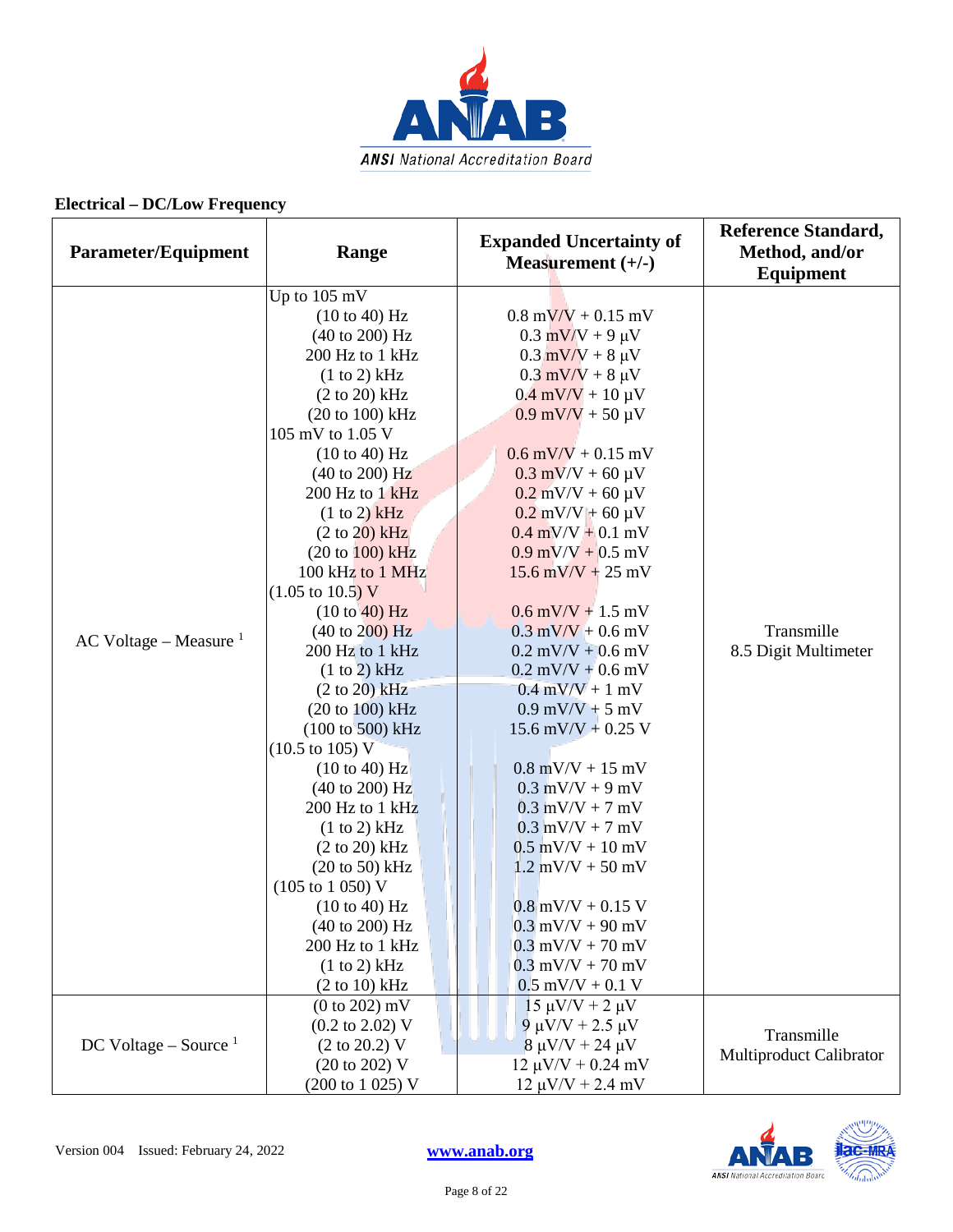

| <b>Parameter/Equipment</b> | Range                               | <b>Expanded Uncertainty of</b><br>Measurement $(+/-)$ | <b>Reference Standard,</b><br>Method, and/or<br>Equipment |
|----------------------------|-------------------------------------|-------------------------------------------------------|-----------------------------------------------------------|
|                            | Up to 105 mV                        |                                                       |                                                           |
|                            | (10 to 40) Hz                       | $0.8 \text{ mV/V} + 0.15 \text{ mV}$                  |                                                           |
|                            | (40 to 200) Hz                      | $0.3$ mV/V + 9 $\mu$ V                                |                                                           |
|                            | 200 Hz to 1 kHz                     | $0.3$ mV/V + 8 $\mu$ V                                |                                                           |
|                            | (1 to 2) kHz                        | $0.3$ mV/V + 8 $\mu$ V                                |                                                           |
|                            | (2 to 20) kHz                       | $0.4$ mV/V + 10 $\mu$ V                               |                                                           |
|                            | $(20 to 100)$ kHz                   | $0.9$ mV/V + 50 $\mu$ V                               |                                                           |
|                            | 105 mV to 1.05 V                    |                                                       |                                                           |
|                            | (10 to 40) Hz                       | $0.6$ mV/V + 0.15 mV                                  |                                                           |
|                            | $(40 \text{ to } 200) \text{ Hz}$   | $0.3$ mV/V + 60 $\mu$ V                               |                                                           |
|                            | 200 Hz to 1 kHz                     | $0.2$ mV/V + 60 $\mu$ V                               |                                                           |
|                            | (1 to 2) kHz                        | $0.2$ mV/V + 60 µV                                    |                                                           |
|                            | $(2 to 20)$ kHz                     | $0.4$ mV/V + 0.1 mV                                   |                                                           |
|                            | $(20 to 100)$ kHz                   | $0.9$ mV/V + 0.5 mV                                   |                                                           |
|                            | 100 kHz to 1 MHz                    | $15.6$ mV/V + 25 mV                                   |                                                           |
|                            | $(1.05 \text{ to } 10.5) \text{ V}$ |                                                       | Transmille<br>8.5 Digit Multimeter                        |
|                            | (10 to 40) Hz                       | $0.6$ mV/V + 1.5 mV                                   |                                                           |
| AC Voltage – Measure $1$   | $(40 \text{ to } 200) \text{ Hz}$   | $0.3$ mV/V + 0.6 mV                                   |                                                           |
|                            | 200 Hz to 1 kHz                     | $0.2$ mV/V + 0.6 mV                                   |                                                           |
|                            | (1 to 2) kHz                        | $0.2$ mV/V + 0.6 mV                                   |                                                           |
|                            | $(2 to 20)$ kHz                     | $0.4$ mV/V + 1 mV                                     |                                                           |
|                            | (20 to 100) kHz                     | $0.9$ mV/V + 5 mV                                     |                                                           |
|                            | $(100 \text{ to } 500) \text{ kHz}$ | 15.6 mV/V + 0.25 V                                    |                                                           |
|                            | $(10.5 \text{ to } 105) \text{ V}$  |                                                       |                                                           |
|                            | (10 to 40) Hz                       | $0.8$ mV/V + 15 mV                                    |                                                           |
|                            | $(40 \text{ to } 200) \text{ Hz}$   | $0.3$ mV/V + 9 mV                                     |                                                           |
|                            | 200 Hz to 1 kHz                     | $0.3$ mV/V + 7 mV                                     |                                                           |
|                            | (1 to 2) kHz                        | $0.3$ mV/V + 7 mV                                     |                                                           |
|                            | $(2 \text{ to } 20) \text{ kHz}$    | $0.5$ mV/V + 10 mV                                    |                                                           |
|                            | $(20 \text{ to } 50)$ kHz           | $1.2$ mV/V + 50 mV                                    |                                                           |
|                            | (105 to 1 050) V                    |                                                       |                                                           |
|                            | $(10 \text{ to } 40) \text{ Hz}$    | $0.8$ mV/V + 0.15 V                                   |                                                           |
|                            | $(40 \text{ to } 200) \text{ Hz}$   | $0.3$ mV/V + 90 mV                                    |                                                           |
|                            | 200 Hz to 1 kHz                     | $0.3$ mV/V + 70 mV                                    |                                                           |
|                            | (1 to 2) kHz                        | $0.3$ mV/V + 70 mV                                    |                                                           |
|                            | $(2 \text{ to } 10) \text{ kHz}$    | $0.5$ mV/V + 0.1 V                                    |                                                           |
|                            | $(0 to 202)$ mV                     | $15 \mu V/V + 2 \mu V$                                |                                                           |
|                            | $(0.2 \text{ to } 2.02) \text{ V}$  | $9 \mu V/V + 2.5 \mu V$                               | Transmille                                                |
| DC Voltage – Source $1$    | $(2 \text{ to } 20.2)$ V            | $8 \mu V/V + 24 \mu V$                                | Multiproduct Calibrator                                   |
|                            | (20 to 202) V                       | $12 \mu V/V + 0.24 \ mV$                              |                                                           |
|                            | (200 to 1 025) V                    | $12 \mu V/V + 2.4 \ mV$                               |                                                           |

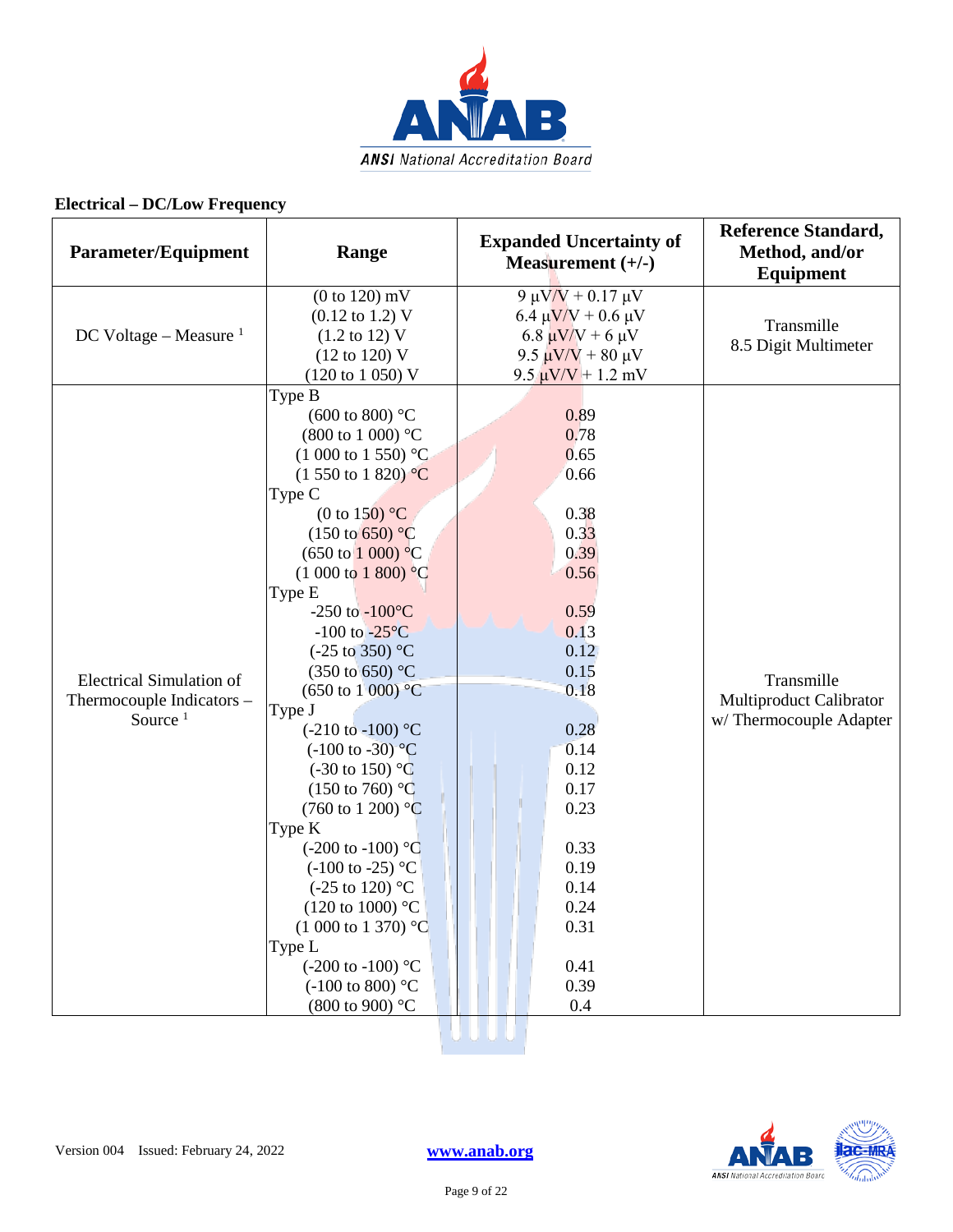

| <b>Parameter/Equipment</b>                                                 | Range                                                                                                                                                                                                                                                                                                                                                                                                                                                                                                                                                                                                                                                                                                                                                                                                                                                                        | <b>Expanded Uncertainty of</b><br>Measurement $(+/-)$                                                                                                                                                | <b>Reference Standard,</b><br>Method, and/or<br>Equipment       |
|----------------------------------------------------------------------------|------------------------------------------------------------------------------------------------------------------------------------------------------------------------------------------------------------------------------------------------------------------------------------------------------------------------------------------------------------------------------------------------------------------------------------------------------------------------------------------------------------------------------------------------------------------------------------------------------------------------------------------------------------------------------------------------------------------------------------------------------------------------------------------------------------------------------------------------------------------------------|------------------------------------------------------------------------------------------------------------------------------------------------------------------------------------------------------|-----------------------------------------------------------------|
| DC Voltage – Measure $1$                                                   | $(0 to 120)$ mV<br>$(0.12 \text{ to } 1.2) \text{ V}$<br>$(1.2 \text{ to } 12) \text{ V}$<br>$(12 \text{ to } 120) \text{ V}$<br>(120 to 1 050) V                                                                                                                                                                                                                                                                                                                                                                                                                                                                                                                                                                                                                                                                                                                            | 9 μV/V + 0.17 μV<br>6.4 $\mu$ V/V + 0.6 $\mu$ V<br>6.8 $\mu$ V/V + 6 $\mu$ V<br>9.5 $\mu$ V/V + 80 μV<br>$9.5 \mu V/V + 1.2 \ mV$                                                                    | Transmille<br>8.5 Digit Multimeter                              |
| <b>Electrical Simulation of</b><br>Thermocouple Indicators -<br>Source $1$ | Type B<br>(600 to 800) $^{\circ}$ C<br>$(800 \text{ to } 1000)$ °C<br>$(1000 \text{ to } 1550)$ °C<br>$(1 550 \text{ to } 1 820) \text{ °C}$<br>Type C<br>(0 to 150) $^{\circ}$ C<br>$(150 \text{ to } 650)$ °C<br>$(650 \text{ to } 1000) \text{ °C}$<br>$(1000 \text{ to } 1800)$ °C<br>Type E<br>-250 to $-100^{\circ}$ C<br>$-100$ to $-25\degree C$<br>$(-25 \text{ to } 350)$ °C<br>(350 to 650) °C<br>$(650 \text{ to } 1000) \text{ °C}$<br>Type J<br>$(-210 \text{ to } -100)$ °C<br>$(-100 \text{ to } -30)^{\circ}C$<br>$(-30 \text{ to } 150)$ °C<br>$(150 \text{ to } 760)$ °C<br>$(760 \text{ to } 1200)$ °C<br>Type K<br>$(-200 \text{ to } -100)$ °C<br>$(-100 \text{ to } -25)$ °C<br>$(-25 \text{ to } 120)$ °C<br>(120 to 1000) $^{\circ}$ C<br>$(1\ 000\ \text{to}\ 1\ 370)$ °C<br>Type L<br>$(-200 \text{ to } -100)$ °C<br>$(-100 \text{ to } 800)$ °C | 0.89<br>0.78<br>0.65<br>0.66<br>0.38<br>0.33<br>0.39<br>0.56<br>0.59<br>0.13<br>0.12<br>0.15<br>0.18<br>0.28<br>0.14<br>0.12<br>0.17<br>0.23<br>0.33<br>0.19<br>0.14<br>0.24<br>0.31<br>0.41<br>0.39 | Transmille<br>Multiproduct Calibrator<br>w/Thermocouple Adapter |
|                                                                            | (800 to 900) °C                                                                                                                                                                                                                                                                                                                                                                                                                                                                                                                                                                                                                                                                                                                                                                                                                                                              | 0.4                                                                                                                                                                                                  |                                                                 |

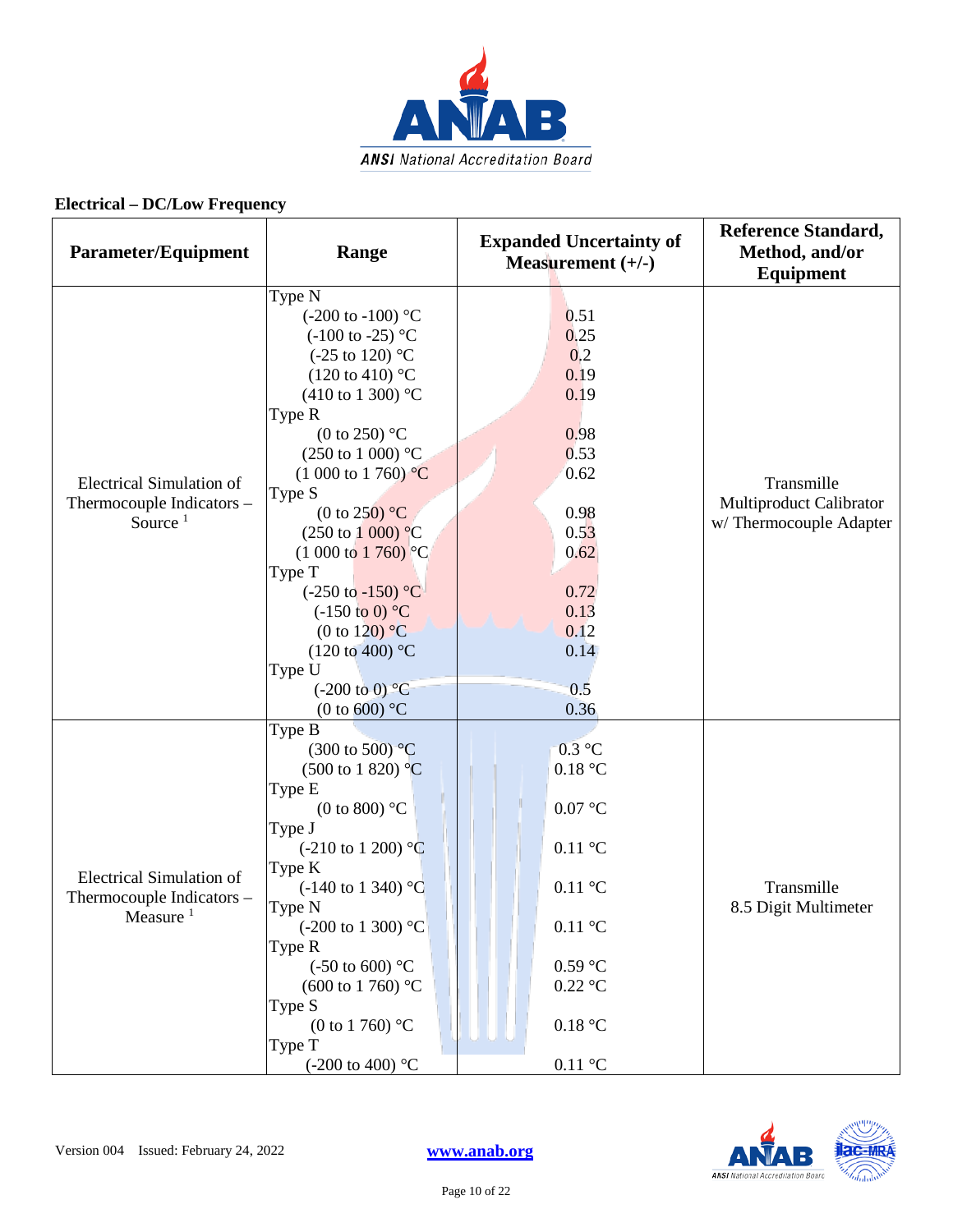

| Parameter/Equipment                                                         | Range                                                                                                                                                                                                                                                                                                                                                                                                                                                                                                                                                                                       | <b>Expanded Uncertainty of</b><br>Measurement $(+/-)$                                                                                                              | <b>Reference Standard,</b><br>Method, and/or<br><b>Equipment</b> |
|-----------------------------------------------------------------------------|---------------------------------------------------------------------------------------------------------------------------------------------------------------------------------------------------------------------------------------------------------------------------------------------------------------------------------------------------------------------------------------------------------------------------------------------------------------------------------------------------------------------------------------------------------------------------------------------|--------------------------------------------------------------------------------------------------------------------------------------------------------------------|------------------------------------------------------------------|
| <b>Electrical Simulation of</b><br>Thermocouple Indicators -<br>Source $1$  | Type N<br>$(-200 \text{ to } -100)$ °C<br>$(-100 \text{ to } -25)$ °C<br>$(-25 \text{ to } 120)$ °C<br>$(120 \text{ to } 410)$ °C<br>$(410 \text{ to } 1300)$ °C<br>Type R<br>(0 to 250) $\mathrm{^{\circ}C}$<br>$(250 \text{ to } 1000)$ °C<br>$(1\ 000\ \text{to}\ 1\ 760)$ °C<br>Type S<br>(0 to 250) $^{\circ}$ C<br>$(250 \text{ to } 1000) \text{ °C}$<br>$(1\ 000\ \text{to}\ 1\ 760)$ °C<br>Type T<br>$(-250 \text{ to } -150)$ °C<br>$(-150 \text{ to } 0)$ °C<br>(0 to 120) $\mathrm{^{\circ}C}$<br>$(120 \text{ to } 400)$ °C<br>Type U<br>$(-200 \text{ to } 0)$ <sup>o</sup> C | 0.51<br>0.25<br>0,2<br>0.19<br>0.19<br>0.98<br>0.53<br>0.62<br>0.98<br>0.53<br>0.62<br>0.72<br>0.13<br>0.12<br>0.14<br>0.5                                         | Transmille<br>Multiproduct Calibrator<br>w/Thermocouple Adapter  |
| <b>Electrical Simulation of</b><br>Thermocouple Indicators -<br>Measure $1$ | (0 to 600) $^{\circ}$ C<br>Type B<br>$(300 \text{ to } 500)$ <sup>o</sup> C<br>$(500 \text{ to } 1820)$ °C<br>Type E<br>(0 to 800) $^{\circ}$ C<br>Type J<br>$(-210 \text{ to } 1200)$ °C<br>Type K<br>$(-140 \text{ to } 1340)$ °C<br>Type N<br>$(-200 \text{ to } 1300)$ °C<br>Type R<br>$(-50 \text{ to } 600)$ °C<br>$(600 \text{ to } 1760)$ °C<br>Type S<br>(0 to 1 760) $^{\circ}$ C<br>Type T<br>$(-200 \text{ to } 400)$ °C                                                                                                                                                        | 0.36<br>$0.3$ °C<br>0.18 °C<br>0.07 °C<br>$0.11\text{ °C}$<br>$0.11\text{ °C}$<br>$0.11\text{ °C}$<br>$0.59$ °C<br>$0.22$ °C<br>0.18 °C<br>$0.11\text{ }^{\circ}C$ | Transmille<br>8.5 Digit Multimeter                               |

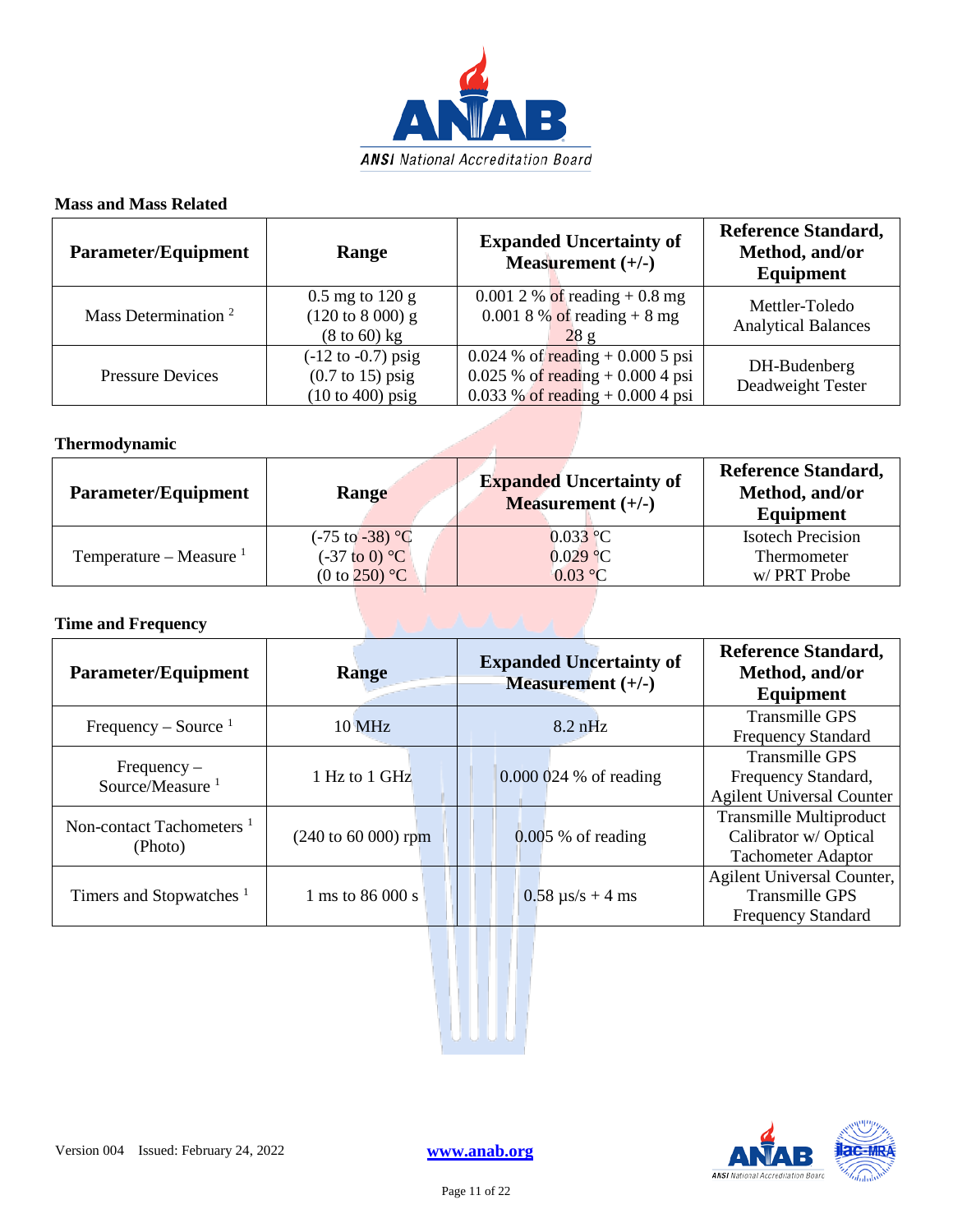

#### **Mass and Mass Related**

| <b>Parameter/Equipment</b>      | Range                                                                                                       | <b>Expanded Uncertainty of</b><br>Measurement $(+/-)$                                                         | <b>Reference Standard,</b><br>Method, and/or<br>Equipment |
|---------------------------------|-------------------------------------------------------------------------------------------------------------|---------------------------------------------------------------------------------------------------------------|-----------------------------------------------------------|
| Mass Determination <sup>2</sup> | $0.5$ mg to 120 g<br>$(120 \text{ to } 8000) \text{ g}$<br>$(8 \text{ to } 60)$ kg                          | 0.001 2 % of reading $+0.8$ mg<br>0.001 8 % of reading $+ 8$ mg<br>28 g                                       | Mettler-Toledo<br><b>Analytical Balances</b>              |
| <b>Pressure Devices</b>         | $(-12 \text{ to } -0.7) \text{ psig}$<br>$(0.7 \text{ to } 15)$ psig<br>$(10 \text{ to } 400) \text{ psig}$ | $0.024$ % of reading + 0.000 5 psi<br>$0.025 \%$ of reading + 0.000 4 psi<br>0.033 % of reading $+0.0004$ psi | DH-Budenberg<br>Deadweight Tester                         |

#### **Thermodynamic**

| <b>Parameter/Equipment</b> | Range                      | <b>Expanded Uncertainty of</b><br><b>Measurement</b> $(+/-)$ | <b>Reference Standard,</b><br>Method, and/or<br>Equipment |
|----------------------------|----------------------------|--------------------------------------------------------------|-----------------------------------------------------------|
|                            | $(-75 \text{ to } -38)$ °C | $0.033$ °C                                                   | <b>Isotech Precision</b>                                  |
| Temperature – Measure $1$  | $(-37 \text{ to } 0)$ °C   | $0.029$ °C                                                   | Thermometer                                               |
|                            | (0 to $250$ ) °C           | 0.03 °C                                                      | w/ PRT Probe                                              |

#### **Time and Frequency**

| <b>Parameter/Equipment</b>           | Range                                   | <b>Expanded Uncertainty of</b><br>Measurement $(+/-)$ | <b>Reference Standard,</b><br>Method, and/or<br>Equipment |
|--------------------------------------|-----------------------------------------|-------------------------------------------------------|-----------------------------------------------------------|
| Frequency – Source $1$               | $10 \text{ MHz}$                        | $8.2$ nHz                                             | <b>Transmille GPS</b>                                     |
|                                      |                                         |                                                       | <b>Frequency Standard</b>                                 |
| $Frequency -$                        |                                         |                                                       | Transmille GPS                                            |
| Source/Measure <sup>1</sup>          | 1 Hz to 1 GHz                           | $0.000024$ % of reading                               | Frequency Standard,                                       |
|                                      |                                         |                                                       | <b>Agilent Universal Counter</b>                          |
| Non-contact Tachometers <sup>1</sup> |                                         |                                                       | <b>Transmille Multiproduct</b>                            |
|                                      | $(240 \text{ to } 60 \text{ } 000)$ rpm | $0.005$ % of reading                                  | Calibrator w/ Optical                                     |
| (Photo)                              |                                         |                                                       | <b>Tachometer Adaptor</b>                                 |
|                                      |                                         |                                                       | Agilent Universal Counter,                                |
| Timers and Stopwatches <sup>1</sup>  | 1 ms to $86000$ s                       | $0.58 \text{ }\mu\text{s/s} + 4 \text{ ms}$           | <b>Transmille GPS</b>                                     |
|                                      |                                         |                                                       | <b>Frequency Standard</b>                                 |
|                                      |                                         |                                                       |                                                           |

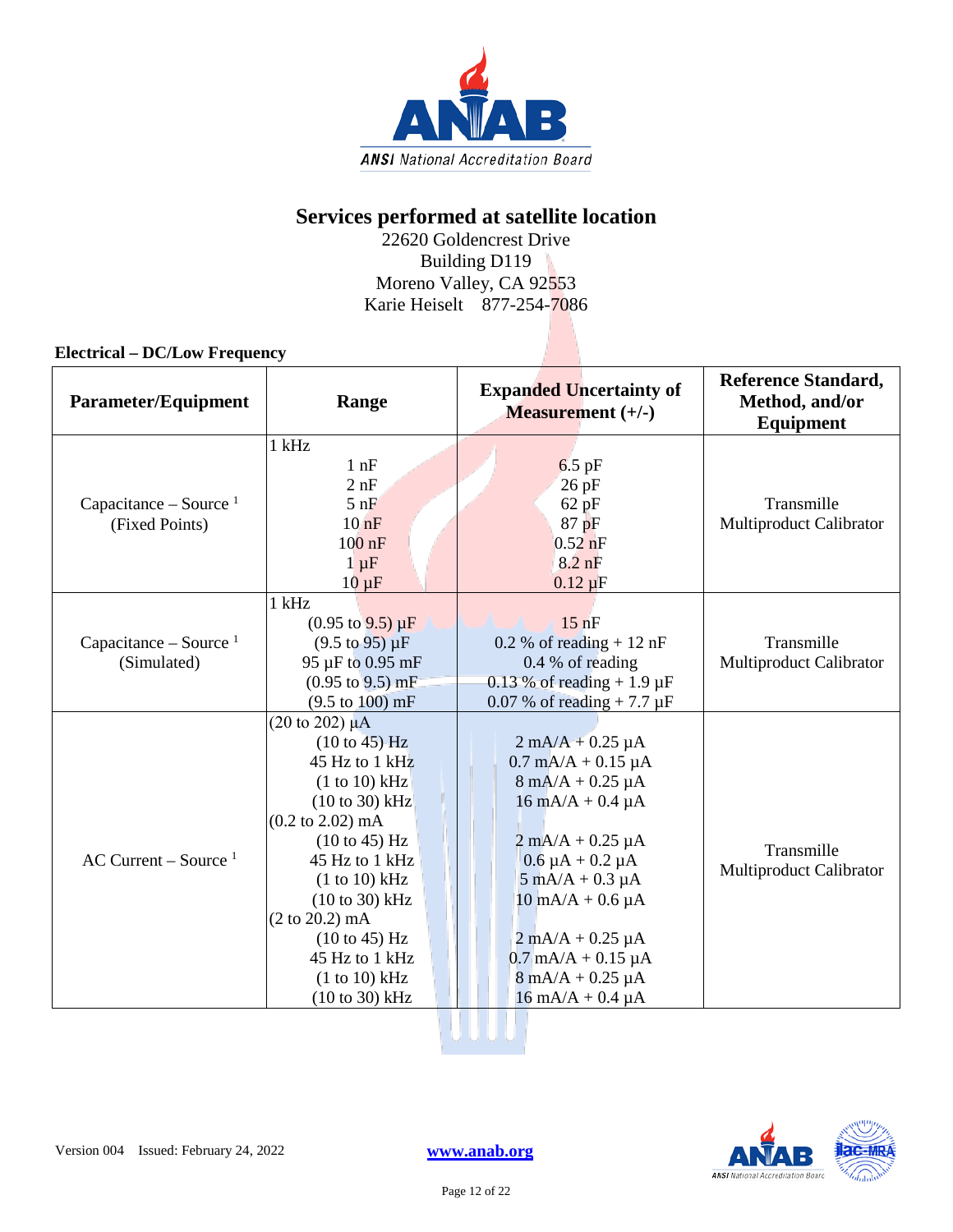

### **Services performed at satellite location**

22620 Goldencrest Drive Building D119 Moreno Valley, CA 92553 Karie Heiselt 877-254-7086

#### **Electrical – DC/Low Frequency**

| Parameter/Equipment                        | Range                                                                                                                                                                                                                                                                                                                                                                        | <b>Expanded Uncertainty of</b><br><b>Measurement</b> (+/-)                                                                                                                                                                                                                                                                                                                                                   | <b>Reference Standard,</b><br>Method, and/or<br><b>Equipment</b> |
|--------------------------------------------|------------------------------------------------------------------------------------------------------------------------------------------------------------------------------------------------------------------------------------------------------------------------------------------------------------------------------------------------------------------------------|--------------------------------------------------------------------------------------------------------------------------------------------------------------------------------------------------------------------------------------------------------------------------------------------------------------------------------------------------------------------------------------------------------------|------------------------------------------------------------------|
| Capacitance – Source $1$<br>(Fixed Points) | $1$ kHz<br>$1$ nF<br>2 nF<br>$5$ nF<br>$10$ nF<br>$100$ nF<br>$1 \mu F$<br>$10 \mu F$                                                                                                                                                                                                                                                                                        | $6.5$ pF<br>$26$ pF<br>$62$ pF<br>87 pF<br>$0.52$ nF<br>$8.2$ nF<br>$0.12 \mu F$                                                                                                                                                                                                                                                                                                                             | Transmille<br>Multiproduct Calibrator                            |
| Capacitance – Source $1$<br>(Simulated)    | $1$ kHz<br>$(0.95 \text{ to } 9.5) \mu F$<br>$(9.5 \text{ to } 95) \mu F$<br>95 µF to 0.95 mF<br>$(0.95 \text{ to } 9.5) \text{ mF}$<br>$(9.5 \text{ to } 100) \text{ mF}$                                                                                                                                                                                                   | $15$ nF<br>$0.2 %$ of reading + 12 nF<br>$0.4\%$ of reading<br>$0.13\%$ of reading + 1.9 µF<br>0.07 % of reading $+ 7.7 \mu F$                                                                                                                                                                                                                                                                               | Transmille<br>Multiproduct Calibrator                            |
| AC Current – Source $1$                    | $(20 \text{ to } 202) \mu\text{A}$<br>$(10 \text{ to } 45)$ -Hz<br>45 Hz to $1$ kHz<br>$(1 to 10)$ kHz<br>$(10 to 30)$ kHz<br>$(0.2 \text{ to } 2.02) \text{ mA}$<br>$(10 \text{ to } 45)$ Hz<br>45 Hz to 1 kHz<br>(1 to 10) kHz<br>$(10 to 30)$ kHz<br>$(2 \text{ to } 20.2) \text{ mA}$<br>$(10 \text{ to } 45)$ Hz<br>45 Hz to 1 kHz<br>(1 to 10) kHz<br>$(10 to 30)$ kHz | $2 \text{ mA}/A + 0.25 \mu A$<br>$0.7 \text{ mA/A} + 0.15 \mu\text{A}$<br>$8 \text{ mA}/A + 0.25 \mu A$<br>$16 \text{ mA/A} + 0.4 \mu\text{A}$<br>$2 \text{ mA}/A + 0.25 \mu A$<br>$0.6 \mu A + 0.2 \mu A$<br>$5 \text{ mA}/A + 0.3 \mu A$<br>$10 \text{ mA/A} + 0.6 \mu\text{A}$<br>$2 \text{ mA}/A + 0.25 \mu A$<br>$0.7$ mA/A + 0.15 µA<br>$8 \text{ mA}/A + 0.25 \mu A$<br>$16 \text{ mA}/A + 0.4 \mu A$ | Transmille<br>Multiproduct Calibrator                            |



Version 004 Issued: February 24, 2022 **[www.anab.org](http://anab.org/)**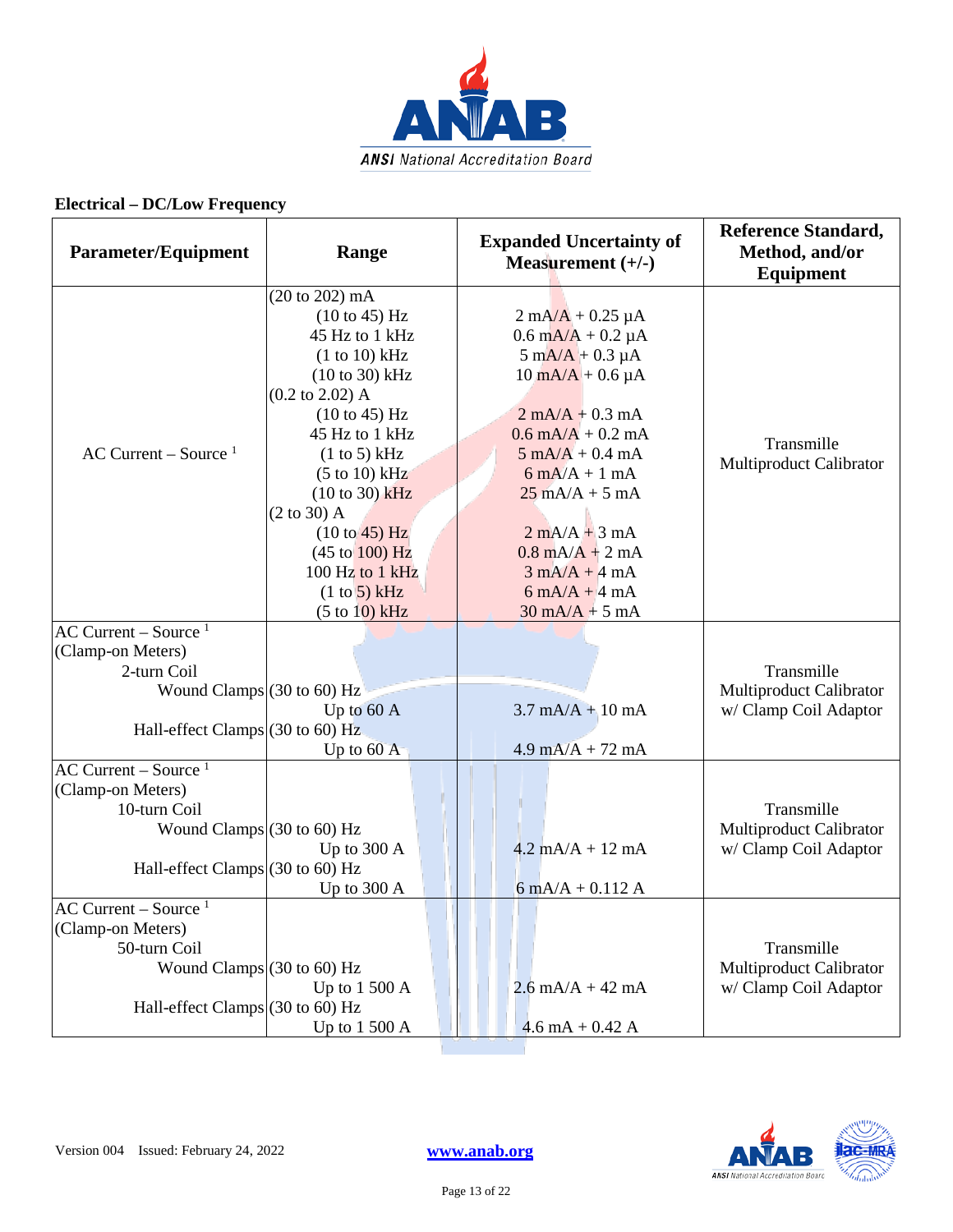

| <b>Parameter/Equipment</b>                                                                                       | Range                                                                                                                                                                                                                                                                                                                                                                                     | <b>Expanded Uncertainty of</b><br>Measurement $(+/-)$                                                                                                                                                                                                                                                                                                                                                                                                                                                    | <b>Reference Standard,</b><br>Method, and/or<br><b>Equipment</b>      |
|------------------------------------------------------------------------------------------------------------------|-------------------------------------------------------------------------------------------------------------------------------------------------------------------------------------------------------------------------------------------------------------------------------------------------------------------------------------------------------------------------------------------|----------------------------------------------------------------------------------------------------------------------------------------------------------------------------------------------------------------------------------------------------------------------------------------------------------------------------------------------------------------------------------------------------------------------------------------------------------------------------------------------------------|-----------------------------------------------------------------------|
| AC Current – Source $1$                                                                                          | $(20 \text{ to } 202) \text{ mA}$<br>(10 to 45) Hz<br>45 Hz to 1 kHz<br>(1 to 10) kHz<br>$(10 to 30)$ kHz<br>$(0.2 \text{ to } 2.02)$ A<br>$(10 \text{ to } 45)$ Hz<br>45 Hz to 1 kHz<br>(1 to 5) kHz<br>(5 to 10) kHz<br>$(10 to 30)$ kHz<br>$(2 \text{ to } 30)$ A<br>$(10 \text{ to } 45)$ Hz<br>$(45 \text{ to } 100) \text{ Hz}$<br>100 Hz to 1 kHz<br>(1 to 5) kHz<br>(5 to 10) kHz | $2 \text{ mA}/\text{A} + 0.25 \text{ }\mu\text{A}$<br>$0.6 \text{ mA/A} + 0.2 \mu\text{A}$<br>$5 \text{ mA}/\text{A} + 0.3 \mu\text{A}$<br>$10 \text{ mA/A} + 0.6 \mu\text{A}$<br>$2$ mA/A + 0.3 mA<br>$0.6$ mA/A + 0.2 mA<br>$5 \text{ mA/A} + 0.4 \text{ mA}$<br>$6 \text{ mA}/A + 1 \text{ mA}$<br>$25 \text{ mA/A} + 5 \text{ mA}$<br>$2 \text{ mA}/A + 3 \text{ mA}$<br>$0.8$ mA/A + 2 mA<br>$3 \text{ mA}/A + 4 \text{ mA}$<br>$6 \text{ mA}/A + 4 \text{ mA}$<br>$30 \text{ mA/A} + 5 \text{ mA}$ | Transmille<br>Multiproduct Calibrator                                 |
| $AC$ Current – Source <sup>1</sup><br>(Clamp-on Meters)<br>2-turn Coil                                           |                                                                                                                                                                                                                                                                                                                                                                                           |                                                                                                                                                                                                                                                                                                                                                                                                                                                                                                          | Transmille                                                            |
| Wound Clamps $(30 \text{ to } 60)$ Hz<br>Hall-effect Clamps $(30 \text{ to } 60)$ Hz                             | Up to 60 A<br>Up to $60$ A                                                                                                                                                                                                                                                                                                                                                                | $3.7 \text{ mA/A} + 10 \text{ mA}$<br>$4.9 \text{ mA/A} + 72 \text{ mA}$                                                                                                                                                                                                                                                                                                                                                                                                                                 | Multiproduct Calibrator<br>w/ Clamp Coil Adaptor                      |
| AC Current – Source $1$<br>(Clamp-on Meters)                                                                     |                                                                                                                                                                                                                                                                                                                                                                                           |                                                                                                                                                                                                                                                                                                                                                                                                                                                                                                          |                                                                       |
| 10-turn Coil<br>Wound Clamps $(30 \text{ to } 60)$ Hz<br>Hall-effect Clamps $(30 \text{ to } 60)$ Hz             | Up to 300 A<br>Up to 300 A                                                                                                                                                                                                                                                                                                                                                                | $4.2 \text{ mA/A} + 12 \text{ mA}$<br>$6 \text{ mA}/A + 0.112 \text{ A}$                                                                                                                                                                                                                                                                                                                                                                                                                                 | Transmille<br>Multiproduct Calibrator<br>w/ Clamp Coil Adaptor        |
| $AC$ Current – Source <sup>1</sup><br>(Clamp-on Meters)<br>50-turn Coil<br>Wound Clamps $(30 \text{ to } 60)$ Hz | Up to $1500 \text{ A}$                                                                                                                                                                                                                                                                                                                                                                    | $2.6 \text{ mA/A} + 42 \text{ mA}$                                                                                                                                                                                                                                                                                                                                                                                                                                                                       | Transmille<br><b>Multiproduct Calibrator</b><br>w/ Clamp Coil Adaptor |
| Hall-effect Clamps (30 to 60) Hz                                                                                 | Up to 1 500 A                                                                                                                                                                                                                                                                                                                                                                             | $4.6$ mA + 0.42 A                                                                                                                                                                                                                                                                                                                                                                                                                                                                                        |                                                                       |

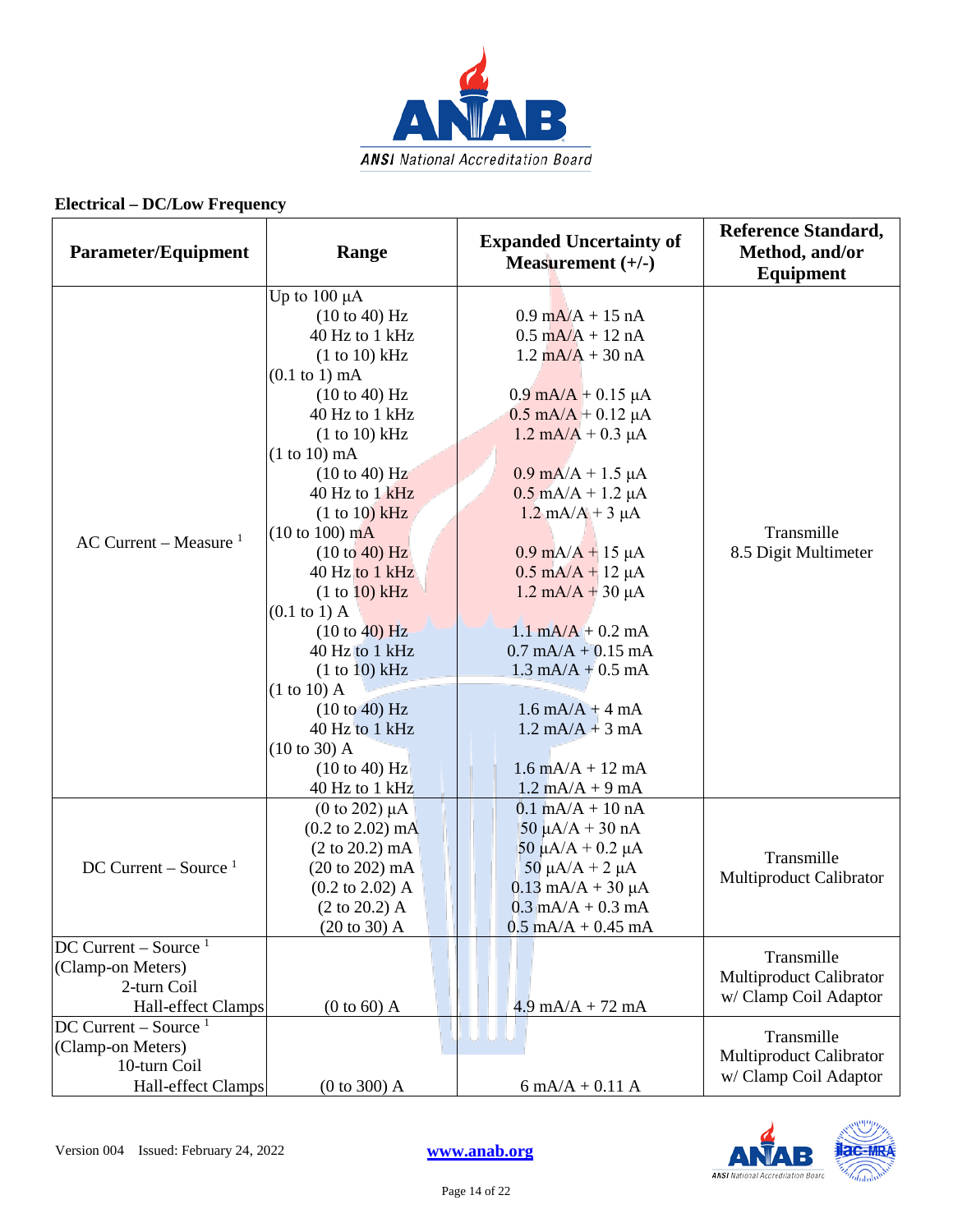

| <b>Parameter/Equipment</b>                                                                    | Range                                                                                                                                                                                                                                                                                                                                                                                                                                                                           | <b>Expanded Uncertainty of</b><br>Measurement $(+/-)$                                                                                                                                                                                                                                                                                                                                                                                                                                                                                                                                                                                                                      | <b>Reference Standard,</b><br>Method, and/or<br>Equipment      |
|-----------------------------------------------------------------------------------------------|---------------------------------------------------------------------------------------------------------------------------------------------------------------------------------------------------------------------------------------------------------------------------------------------------------------------------------------------------------------------------------------------------------------------------------------------------------------------------------|----------------------------------------------------------------------------------------------------------------------------------------------------------------------------------------------------------------------------------------------------------------------------------------------------------------------------------------------------------------------------------------------------------------------------------------------------------------------------------------------------------------------------------------------------------------------------------------------------------------------------------------------------------------------------|----------------------------------------------------------------|
| AC Current – Measure $1$                                                                      | Up to $100 \mu A$<br>(10 to 40) Hz<br>40 Hz to 1 kHz<br>(1 to 10) kHz<br>$(0.1$ to 1) mA<br>(10 to 40) Hz<br>40 Hz to 1 kHz<br>(1 to 10) kHz<br>$(1 to 10)$ mA<br>(10 to 40) Hz<br>40 Hz to 1 kHz<br>(1 to 10) kHz<br>$(10 \text{ to } 100) \text{ mA}$<br>(10 to 40) Hz<br>40 Hz to 1 kHz<br>(1 to 10) kHz<br>$(0.1 \text{ to } 1)$ A<br>(10 to 40) Hz<br>40 Hz to 1 kHz<br>(1 to 10) kHz<br>$(1 to 10)$ A<br>(10 to 40) Hz<br>40 Hz to 1 kHz<br>(10 to 30) A<br>(10 to 40) Hz | $0.9 \text{ mA/A} + 15 \text{ nA}$<br>$0.5 \text{ mA/A} + 12 \text{ nA}$<br>$1.2 \text{ mA/A} + 30 \text{ nA}$<br>$0.9 \text{ mA/A} + 0.15 \mu\text{A}$<br>$0.5$ mA/A + 0.12 µA<br>$1.2 \text{ mA/A} + 0.3 \mu\text{A}$<br>$0.9$ mA/A + 1.5 $\mu$ A<br>$0.5$ mA/A + 1.2 $\mu$ A<br>$1.2 \text{ mA/A} + 3 \text{ }\mu\text{A}$<br>$0.9 \text{ mA/A} + 15 \mu\text{A}$<br>$0.5 \text{ mA/A} + 12 \mu\text{A}$<br>$1.2 \text{ mA/A} + 30 \mu\text{A}$<br>$1.1 \text{ mA/A} + 0.2 \text{ mA}$<br>$0.7$ mA/A + $0.15$ mA<br>$1.3 \text{ mA/A} + 0.5 \text{ mA}$<br>$1.6 \text{ mA/A} + 4 \text{ mA}$<br>$1.2 \text{ mA/A} + 3 \text{ mA}$<br>$1.6 \text{ mA/A} + 12 \text{ mA}$ | Transmille<br>8.5 Digit Multimeter                             |
| DC Current – Source $1$                                                                       | 40 Hz to 1 kHz<br>(0 to 202) $\mu$ A<br>$(0.2 \text{ to } 2.02) \text{ mA}$<br>$(2 \text{ to } 20.2) \text{ mA}$<br>$(20 \text{ to } 202) \text{ mA}$<br>$(0.2 \text{ to } 2.02)$ A<br>$(2 \text{ to } 20.2)$ A<br>$(20 \text{ to } 30)$ A                                                                                                                                                                                                                                      | $1.2 \text{ mA}/A + 9 \text{ mA}$<br>$0.1 \text{ mA/A} + 10 \text{ nA}$<br>$50 \mu A/A + 30 nA$<br>$50 \mu A/A + 0.2 \mu A$<br>50 μA/A + 2 μA<br>$0.13$ mA/A + 30 µA<br>$0.3$ mA/A + 0.3 mA<br>$0.5$ mA/A + 0.45 mA                                                                                                                                                                                                                                                                                                                                                                                                                                                        | Transmille<br>Multiproduct Calibrator                          |
| $DC$ Current – Source <sup>1</sup><br>(Clamp-on Meters)<br>2-turn Coil<br>Hall-effect Clamps  | $(0 to 60)$ A                                                                                                                                                                                                                                                                                                                                                                                                                                                                   | $4.9 \text{ mA/A} + 72 \text{ mA}$                                                                                                                                                                                                                                                                                                                                                                                                                                                                                                                                                                                                                                         | Transmille<br>Multiproduct Calibrator<br>w/ Clamp Coil Adaptor |
| $DC$ Current – Source <sup>1</sup><br>(Clamp-on Meters)<br>10-turn Coil<br>Hall-effect Clamps | (0 to 300) A                                                                                                                                                                                                                                                                                                                                                                                                                                                                    | $6 \text{ mA}/A + 0.11 \text{ A}$                                                                                                                                                                                                                                                                                                                                                                                                                                                                                                                                                                                                                                          | Transmille<br>Multiproduct Calibrator<br>w/ Clamp Coil Adaptor |



Page 14 of 22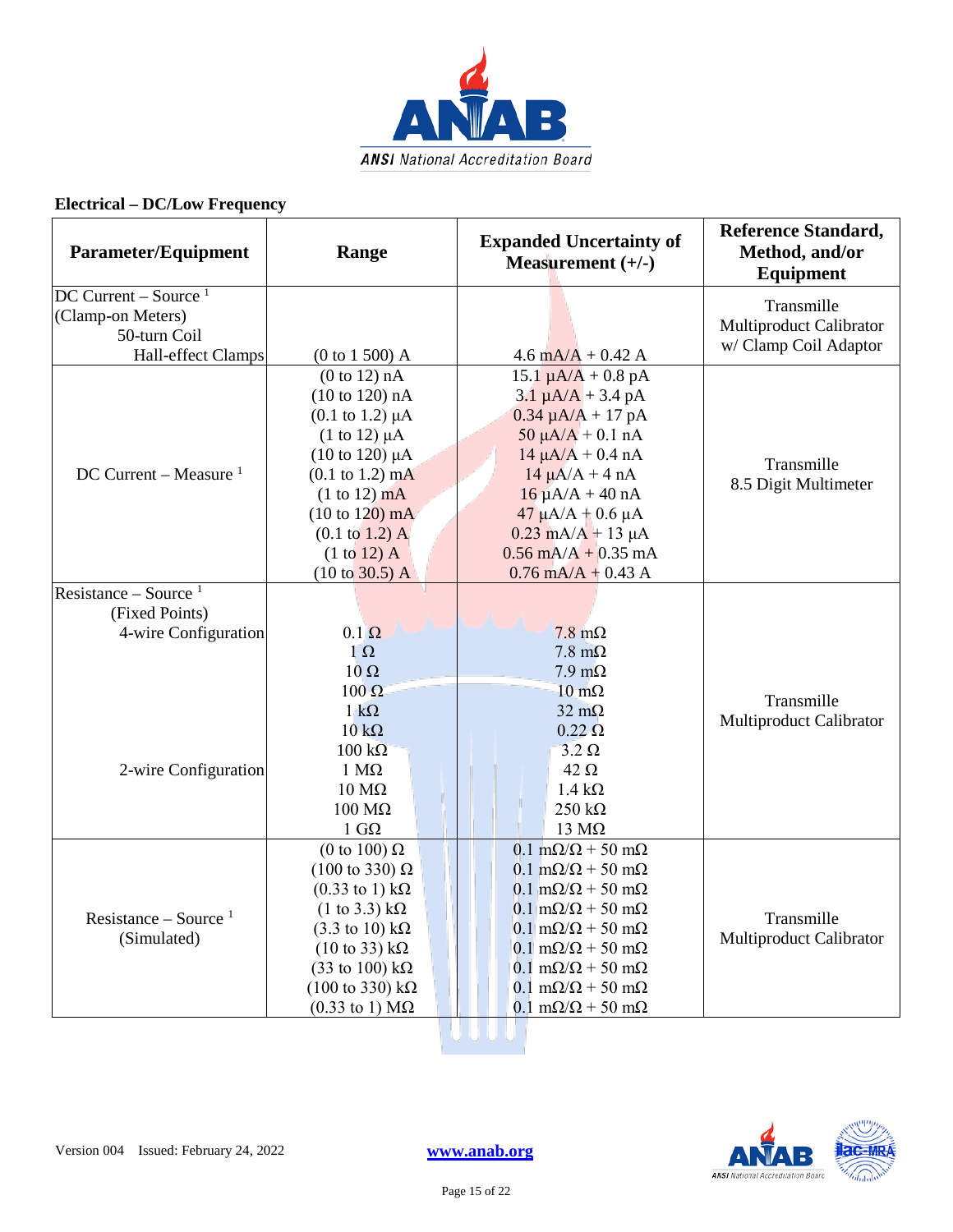

| <b>Parameter/Equipment</b>         | Range                                   | <b>Expanded Uncertainty of</b><br>Measurement $(+/-)$ | <b>Reference Standard,</b><br>Method, and/or<br><b>Equipment</b> |
|------------------------------------|-----------------------------------------|-------------------------------------------------------|------------------------------------------------------------------|
| $DC$ Current – Source <sup>1</sup> |                                         |                                                       | Transmille                                                       |
| (Clamp-on Meters)                  |                                         |                                                       | Multiproduct Calibrator                                          |
| 50-turn Coil                       |                                         |                                                       | w/ Clamp Coil Adaptor                                            |
| Hall-effect Clamps                 | (0 to 1 500) A                          | $4.6 \text{ mA/A} + 0.42 \text{ A}$                   |                                                                  |
|                                    | (0 to 12) nA                            | $15.1 \mu A/A + 0.8 \text{ pA}$                       |                                                                  |
|                                    | (10 to 120) nA                          | $3.1 \mu A/A + 3.4 \mu A$                             |                                                                  |
|                                    | $(0.1 \text{ to } 1.2) \mu A$           | $0.34 \mu A/A + 17 pA$                                |                                                                  |
|                                    | $(1 \text{ to } 12) \mu A$              | $50 \mu A/A + 0.1 \text{ nA}$                         |                                                                  |
|                                    | $(10 \text{ to } 120) \mu A$            | $14 \mu A/A + 0.4 \text{ nA}$                         | Transmille                                                       |
| DC Current – Measure $1$           | $(0.1 \text{ to } 1.2) \text{ mA}$      | $14 \mu A/A + 4 nA$                                   | 8.5 Digit Multimeter                                             |
|                                    | $(1 to 12)$ mA                          | $16 \mu A/A + 40 nA$                                  |                                                                  |
|                                    | $(10 \text{ to } 120) \text{ mA}$       | $47 \mu A/A + 0.6 \mu A$                              |                                                                  |
|                                    | $(0.1 \text{ to } 1.2)$ A               | $0.23$ mA/A + 13 µA                                   |                                                                  |
|                                    | $(1 to 12)$ A                           | $0.56$ mA/A + 0.35 mA                                 |                                                                  |
|                                    | $(10 \text{ to } 30.5)$ A               | $0.76$ mA/A + 0.43 A                                  |                                                                  |
| Resistance – Source $1$            |                                         |                                                       |                                                                  |
| (Fixed Points)                     |                                         |                                                       |                                                                  |
| 4-wire Configuration               | $0.1 \Omega$                            | $7.8 \text{ m}\Omega$                                 |                                                                  |
|                                    | $1\ \Omega$                             | $7.8 \text{ m}\Omega$                                 |                                                                  |
|                                    | $10 \Omega$                             | $7.9 \text{ m}\Omega$                                 |                                                                  |
|                                    | $100 \Omega$                            | $10 \text{ m}\Omega$                                  | Transmille                                                       |
|                                    | $1 \text{ k}\Omega$                     | $32 \text{ m}\Omega$                                  | Multiproduct Calibrator                                          |
|                                    | $10 k\Omega$                            | $0.22 \Omega$                                         |                                                                  |
|                                    | $100 \text{ k}\Omega$                   | $3.2 \Omega$                                          |                                                                  |
| 2-wire Configuration               | $1 M\Omega$                             | $42 \Omega$                                           |                                                                  |
|                                    | $10 \text{ M}\Omega$                    | $1.4 \text{ k}\Omega$                                 |                                                                  |
|                                    | $100 \text{ M}\Omega$                   | $250 k\Omega$                                         |                                                                  |
|                                    | $1 \text{ } G\Omega$                    | $13 \text{ M}\Omega$                                  |                                                                  |
|                                    | (0 to 100) $\Omega$                     | $0.1 \text{ m}\Omega/\Omega$ + 50 m $\Omega$          |                                                                  |
|                                    | $(100 \text{ to } 330) \Omega$          | $0.1 \text{ m}\Omega/\Omega$ + 50 m $\Omega$          |                                                                  |
|                                    | $(0.33 \text{ to } 1) \text{ k}\Omega$  | $0.1 \text{ m}\Omega/\Omega$ + 50 m $\Omega$          |                                                                  |
| Resistance – Source $1$            | $(1 \text{ to } 3.3) \text{ k}\Omega$   | $0.1 \text{ m}\Omega/\Omega$ + 50 m $\Omega$          | Transmille                                                       |
| (Simulated)                        | $(3.3 \text{ to } 10) \text{ k}\Omega$  | $0.1 \text{ m}\Omega/\Omega$ + 50 m $\Omega$          | <b>Multiproduct Calibrator</b>                                   |
|                                    | $(10 \text{ to } 33) \text{ k}\Omega$   | $0.1 \text{ m}\Omega/\Omega$ + 50 m $\Omega$          |                                                                  |
|                                    | $(33 \text{ to } 100) \text{ k}\Omega$  | $0.1 \text{ m}\Omega/\Omega$ + 50 m $\Omega$          |                                                                  |
|                                    | $(100 \text{ to } 330) \text{ k}\Omega$ | $0.1 \text{ m}\Omega/\Omega$ + 50 m $\Omega$          |                                                                  |
|                                    | $(0.33 \text{ to } 1) \text{ M}\Omega$  | $0.1 \text{ m}\Omega/\Omega$ + 50 m $\Omega$          |                                                                  |
|                                    |                                         |                                                       |                                                                  |

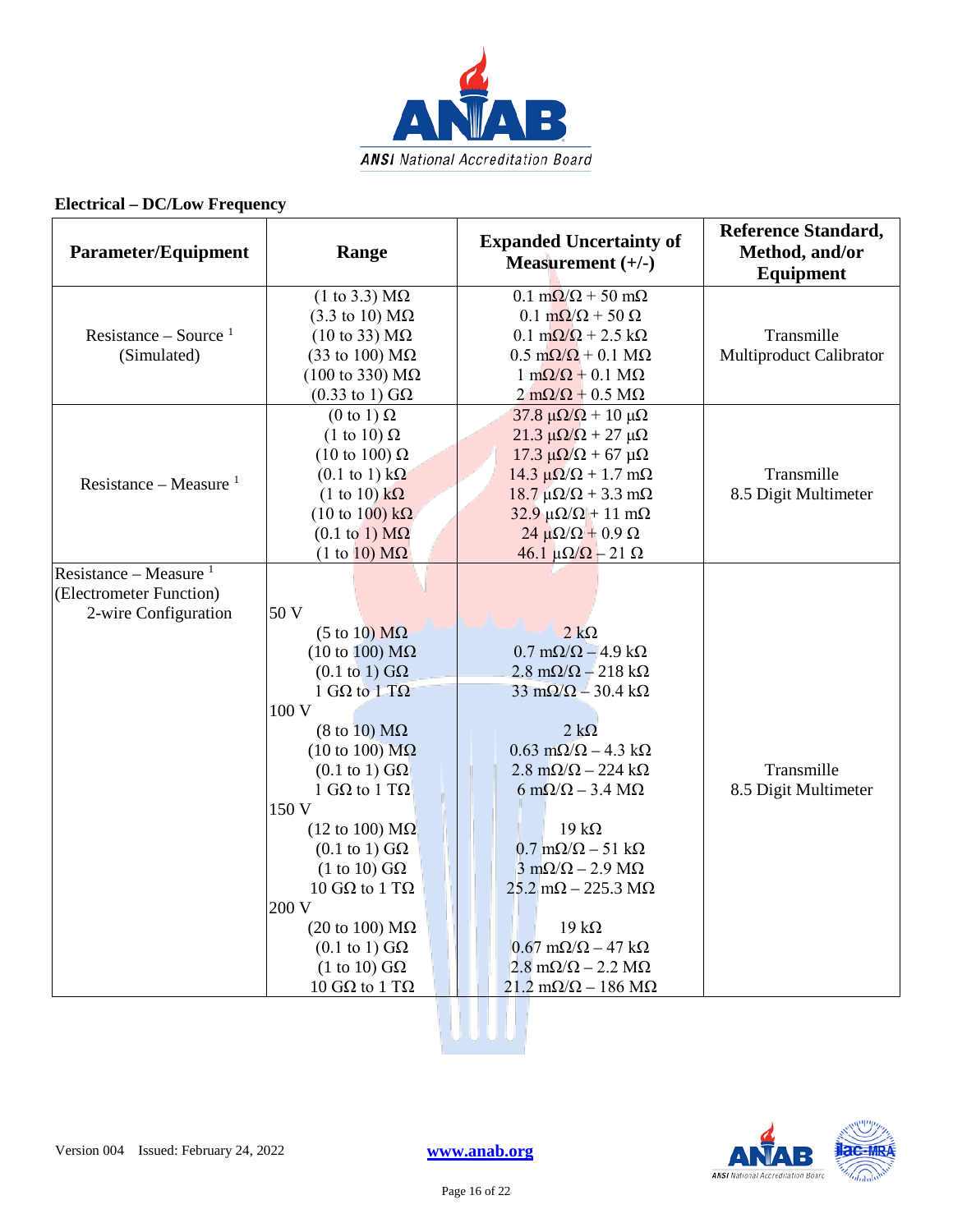

| <b>Parameter/Equipment</b> | Range                                                                 | <b>Expanded Uncertainty of</b><br>Measurement $(+/-)$                                               | <b>Reference Standard,</b><br>Method, and/or<br><b>Equipment</b> |
|----------------------------|-----------------------------------------------------------------------|-----------------------------------------------------------------------------------------------------|------------------------------------------------------------------|
|                            | $(1 \text{ to } 3.3) \text{ M}\Omega$                                 | $0.1 \text{ m}\Omega/\Omega$ + 50 m $\Omega$                                                        |                                                                  |
|                            | $(3.3 \text{ to } 10) \text{ M}\Omega$                                | $0.1 \text{ m}\Omega/\Omega$ + 50 $\Omega$                                                          |                                                                  |
| Resistance – Source $1$    | $(10 \text{ to } 33) \text{ M}\Omega$                                 | $0.1 \text{ m}\Omega/\Omega$ + 2.5 k $\Omega$                                                       | Transmille                                                       |
| (Simulated)                | (33 to 100) $\text{M}\Omega$                                          | $0.5 \text{ m}\Omega/\Omega + 0.1 \text{ M}\Omega$                                                  | Multiproduct Calibrator                                          |
|                            | $(100 \text{ to } 330) \text{ M}\Omega$                               | $1 \text{ m}\Omega/\Omega + 0.1 \text{ M}\Omega$                                                    |                                                                  |
|                            | $(0.33 \text{ to } 1) \text{ G}\Omega$                                | $2 \text{ mA}/\Omega + 0.5 \text{ M}\Omega$                                                         |                                                                  |
|                            | $(0 \text{ to } 1) \Omega$                                            | $37.8 \mu\Omega/\Omega$ + 10 μΩ                                                                     |                                                                  |
|                            | $(1 \text{ to } 10) \Omega$                                           | $21.3 \mu\Omega/\Omega + 27 \mu\Omega$                                                              |                                                                  |
|                            | $(10 \text{ to } 100) \Omega$                                         | $17.3 \mu\Omega/\Omega + 67 \mu\Omega$                                                              |                                                                  |
| Resistance – Measure $1$   | $(0.1 \text{ to } 1) \text{ k}\Omega$                                 | $14.3 \mu\Omega/\Omega + 1.7 \text{ mA}$                                                            | Transmille                                                       |
|                            | $(1 \text{ to } 10) \text{ k}\Omega$                                  | $18.7 \mu\Omega/\Omega + 3.3 \text{ mA}$                                                            | 8.5 Digit Multimeter                                             |
|                            | $(10 \text{ to } 100) \text{ k}\Omega$                                | $32.9 \mu\Omega/\Omega$ + 11 m $\Omega$                                                             |                                                                  |
|                            | $(0.1 \text{ to } 1) \text{ M}\Omega$                                 | $24 \mu\Omega/\Omega + 0.9 \Omega$                                                                  |                                                                  |
|                            | $(1 \text{ to } 10) \text{ M}\Omega$                                  | $46.1 \mu\Omega/\Omega - 21 \Omega$                                                                 |                                                                  |
| Resistance – Measure $1$   |                                                                       |                                                                                                     |                                                                  |
| (Electrometer Function)    |                                                                       |                                                                                                     |                                                                  |
| 2-wire Configuration       | 50 V                                                                  |                                                                                                     |                                                                  |
|                            | $(5 \text{ to } 10) \text{ M}\Omega$                                  | $2 k\Omega$                                                                                         |                                                                  |
|                            | $(10 \text{ to } 100) \text{ M}\Omega$                                | $0.7 \text{ m}\Omega/\Omega - 4.9 \text{ k}\Omega$                                                  |                                                                  |
|                            | $(0.1 \text{ to } 1) \text{ G}\Omega$<br>1 G $\Omega$ to 1 T $\Omega$ | $2.8 \text{ m}\Omega/\Omega - 218 \text{ k}\Omega$<br>$33 \text{ mA}/\Omega - 30.4 \text{ k}\Omega$ |                                                                  |
|                            | 100 V                                                                 |                                                                                                     |                                                                  |
|                            | $(8 \text{ to } 10) \text{ M}\Omega$                                  | $2 k\Omega$                                                                                         |                                                                  |
|                            | $(10 \text{ to } 100) \text{ M}\Omega$                                | $0.63 \text{ m}\Omega/\Omega - 4.3 \text{ k}\Omega$                                                 |                                                                  |
|                            | $(0.1 \text{ to } 1)$ GQ                                              | $2.8 \text{ m}\Omega/\Omega - 224 \text{ k}\Omega$                                                  | Transmille                                                       |
|                            | 1 G $\Omega$ to 1 T $\Omega$                                          | $6 \text{ mA}/\Omega - 3.4 \text{ M}\Omega$                                                         | 8.5 Digit Multimeter                                             |
|                            | 150 V                                                                 |                                                                                                     |                                                                  |
|                            | $(12 \text{ to } 100) \text{ M}\Omega$                                | $19 k\Omega$                                                                                        |                                                                  |
|                            | $(0.1 \text{ to } 1) \text{ G}\Omega$                                 | $0.7 \text{ m}\Omega/\Omega - 51 \text{ k}\Omega$                                                   |                                                                  |
|                            | $(1 \text{ to } 10) \text{ G}\Omega$                                  | $3 \text{ mA}/\Omega - 2.9 \text{ M}\Omega$                                                         |                                                                  |
|                            | 10 GΩ to 1 TΩ                                                         | $25.2$ m $\Omega$ – 225.3 M $\Omega$                                                                |                                                                  |
|                            | 200 V                                                                 |                                                                                                     |                                                                  |
|                            | $(20 \text{ to } 100) \text{ M}\Omega$                                | $19 k\Omega$                                                                                        |                                                                  |
|                            | $(0.1 \text{ to } 1)$ GQ                                              | $0.67 \text{ m}\Omega/\Omega - 47 \text{ k}\Omega$                                                  |                                                                  |
|                            | $(1 \text{ to } 10) \text{ G}\Omega$                                  | $2.8 \text{ m}\Omega/\Omega - 2.2 \text{ M}\Omega$                                                  |                                                                  |
|                            | 10 GΩ to 1 TΩ                                                         | $21.2 \text{ mA}/\Omega - 186 \text{ M}\Omega$                                                      |                                                                  |

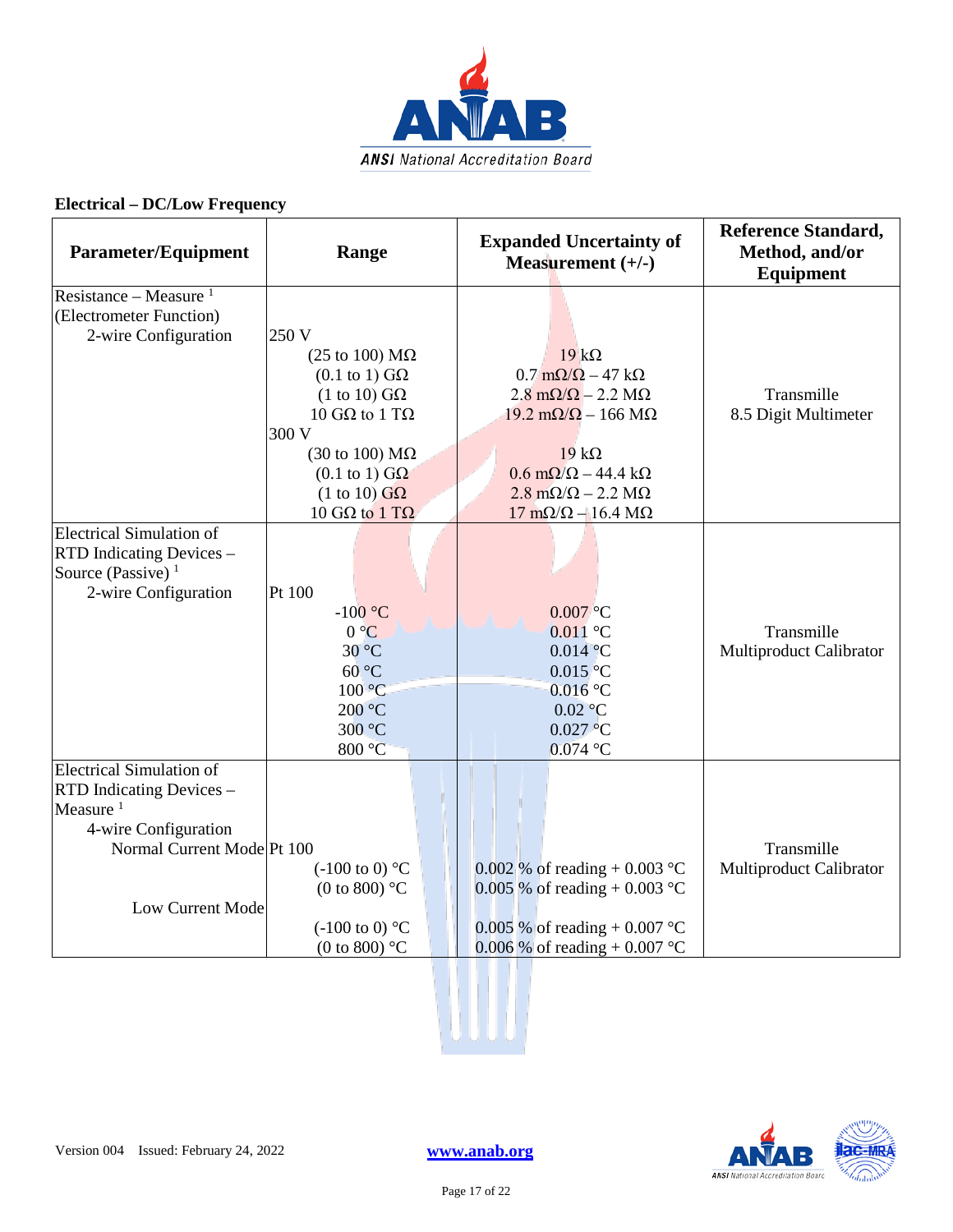

| <b>Parameter/Equipment</b>                                                  | Range                                  | <b>Expanded Uncertainty of</b><br>Measurement $(+/-)$ | <b>Reference Standard,</b><br>Method, and/or<br><b>Equipment</b> |
|-----------------------------------------------------------------------------|----------------------------------------|-------------------------------------------------------|------------------------------------------------------------------|
| Resistance – Measure $1$<br>(Electrometer Function)<br>2-wire Configuration | 250 V                                  |                                                       |                                                                  |
|                                                                             | (25 to 100) $M\Omega$                  | $19 k\Omega$                                          |                                                                  |
|                                                                             | $(0.1 \text{ to } 1)$ GQ               | $0.7 \text{ m}\Omega/\Omega - 47 \text{ k}\Omega$     |                                                                  |
|                                                                             | $(1 \text{ to } 10)$ GQ                | $2.8 \text{ m}\Omega/\Omega - 2.2 \text{ M}\Omega$    | Transmille                                                       |
|                                                                             | 10 GΩ to 1 TΩ                          | $19.2 \text{ m}\Omega/\Omega - 166 \text{ M}\Omega$   | 8.5 Digit Multimeter                                             |
|                                                                             | 300 V                                  |                                                       |                                                                  |
|                                                                             | $(30 \text{ to } 100) \text{ M}\Omega$ | $19 k\Omega$                                          |                                                                  |
|                                                                             | $(0.1 \text{ to } 1)$ GQ               | $0.6 \text{ m}\Omega/\Omega - 44.4 \text{ k}\Omega$   |                                                                  |
|                                                                             | $(1 \text{ to } 10)$ GQ                | $2.8 \text{ m}\Omega/\Omega - 2.2 \text{ M}\Omega$    |                                                                  |
|                                                                             | 10 GΩ to 1 TΩ                          | $17 \text{ mA}/\Omega - 16.4 \text{ M}\Omega$         |                                                                  |
| <b>Electrical Simulation of</b>                                             |                                        |                                                       |                                                                  |
| RTD Indicating Devices -                                                    |                                        |                                                       |                                                                  |
| Source (Passive) $1$                                                        |                                        |                                                       |                                                                  |
| 2-wire Configuration                                                        | Pt 100                                 |                                                       |                                                                  |
|                                                                             | $-100$ °C                              | $0.007$ °C                                            |                                                                  |
|                                                                             | $0^{\circ}C$                           | $0.011$ °C                                            | Transmille                                                       |
|                                                                             | $30^{\circ}$ C                         | $0.014$ °C                                            | Multiproduct Calibrator                                          |
|                                                                             | $60^{\circ}$ C                         | $0.015$ °C                                            |                                                                  |
|                                                                             | 100 °C                                 | $0.016$ °C                                            |                                                                  |
|                                                                             | 200 °C                                 | $0.02$ °C                                             |                                                                  |
|                                                                             | 300 °C                                 | 0.027 °C                                              |                                                                  |
|                                                                             | 800 °C                                 | $0.074$ °C                                            |                                                                  |
| <b>Electrical Simulation of</b>                                             |                                        |                                                       |                                                                  |
| RTD Indicating Devices -<br>Measure <sup>1</sup>                            |                                        |                                                       |                                                                  |
| 4-wire Configuration                                                        |                                        |                                                       |                                                                  |
| Normal Current Mode Pt 100                                                  |                                        |                                                       | Transmille                                                       |
|                                                                             | $(-100 \text{ to } 0)$ °C              | 0.002 % of reading $+$ 0.003 °C                       | Multiproduct Calibrator                                          |
|                                                                             | (0 to 800) $^{\circ}$ C                | 0.005 % of reading + 0.003 °C                         |                                                                  |
| Low Current Mode                                                            |                                        |                                                       |                                                                  |
|                                                                             | $(-100 \text{ to } 0)$ °C              | 0.005 % of reading + 0.007 °C                         |                                                                  |
|                                                                             | (0 to 800) $^{\circ}$ C                | 0.006 % of reading + 0.007 °C                         |                                                                  |
|                                                                             |                                        |                                                       |                                                                  |
|                                                                             |                                        |                                                       |                                                                  |

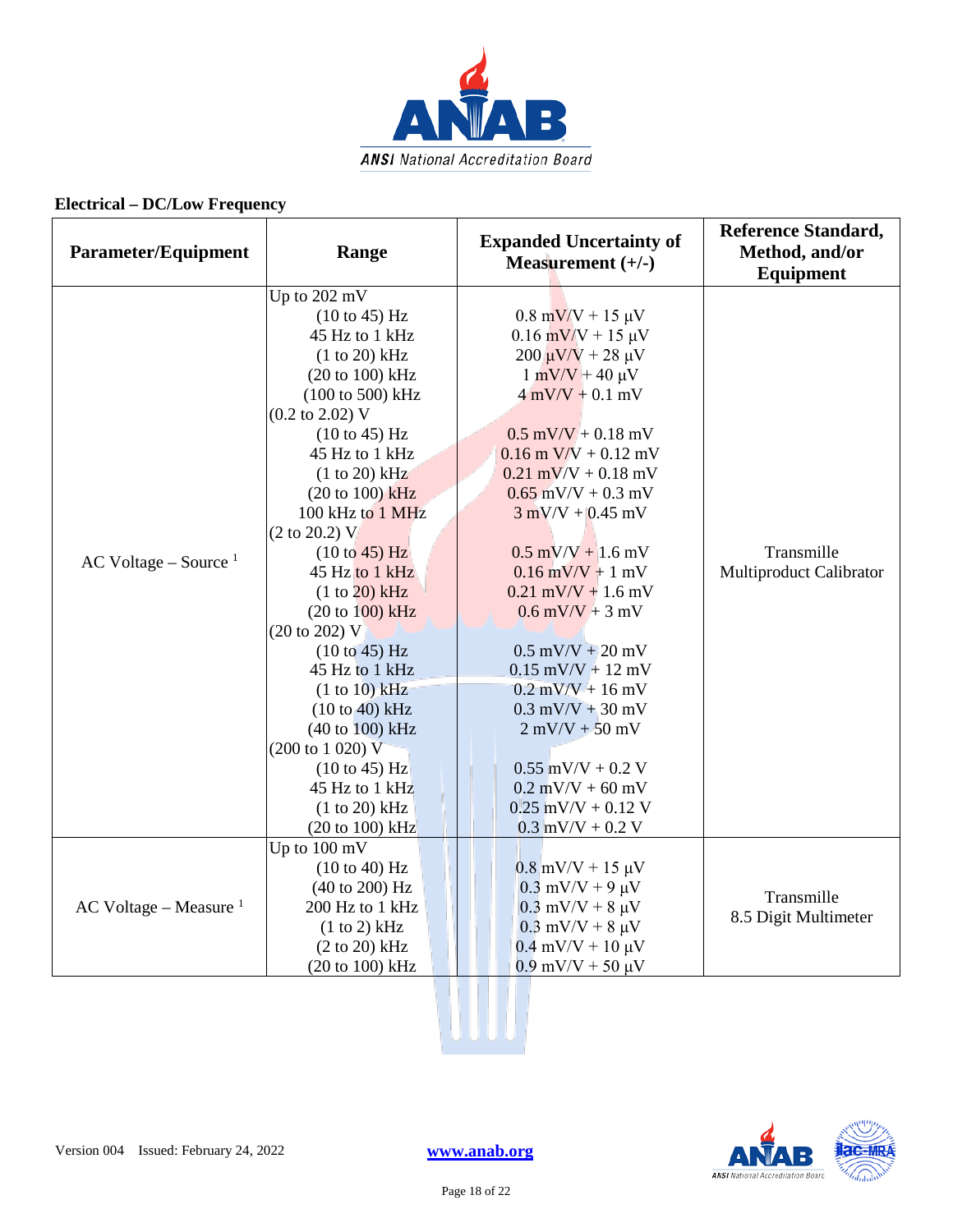

| <b>Parameter/Equipment</b> | Range                                                  | <b>Expanded Uncertainty of</b><br>Measurement $(+/-)$ | <b>Reference Standard,</b><br>Method, and/or<br><b>Equipment</b> |
|----------------------------|--------------------------------------------------------|-------------------------------------------------------|------------------------------------------------------------------|
|                            | Up to 202 mV                                           |                                                       |                                                                  |
|                            | $(10 \text{ to } 45)$ Hz                               | $0.8 \text{ mV/V} + 15 \text{ }\mu\text{V}$           |                                                                  |
|                            | 45 Hz to 1 kHz                                         | $0.16$ mV/V + 15 µV                                   |                                                                  |
|                            | $(1 to 20)$ kHz                                        | $200 \mu V/V + 28 \mu V$                              |                                                                  |
|                            | (20 to 100) kHz                                        | $1 \text{ mV/V} + 40 \text{ \mu V}$                   |                                                                  |
|                            | (100 to 500) kHz<br>$(0.2 \text{ to } 2.02) \text{ V}$ | $4$ mV/V + 0.1 mV                                     |                                                                  |
|                            | (10 to 45) Hz                                          | $0.5$ mV/V + 0.18 mV                                  |                                                                  |
|                            | 45 Hz to 1 kHz                                         | $0.16$ m V/V + $0.12$ mV                              |                                                                  |
|                            | $(1 to 20)$ kHz                                        | $0.21$ mV/V + $0.18$ mV                               |                                                                  |
|                            | $(20 to 100)$ kHz                                      | $0.65$ mV/V + 0.3 mV                                  |                                                                  |
|                            | 100 kHz to 1 MHz                                       | $3$ mV/V + 0.45 mV                                    |                                                                  |
|                            | $(2 \text{ to } 20.2)$ V                               |                                                       |                                                                  |
|                            | (10 to 45) Hz                                          | $0.5$ mV/V + 1.6 mV                                   | Transmille                                                       |
| AC Voltage – Source $1$    | 45 Hz to 1 kHz                                         | $0.16$ mV/V + 1 mV                                    | Multiproduct Calibrator                                          |
|                            | (1 to 20) kHz                                          | $0.21$ mV/V + 1.6 mV                                  |                                                                  |
|                            | $(20 to 100)$ kHz                                      | $0.6$ mV/V + 3 mV                                     |                                                                  |
|                            | (20 to 202) V                                          |                                                       |                                                                  |
|                            | $(10 \text{ to } 45) \text{ Hz}$                       | $0.5$ mV/V + 20 mV                                    |                                                                  |
|                            | 45 Hz to 1 kHz                                         | $0.15$ mV/V + 12 mV                                   |                                                                  |
|                            | (1 to 10) kHz                                          | $0.2$ mV/V + 16 mV                                    |                                                                  |
|                            | $(10 to 40)$ kHz                                       | $0.3$ mV/V + 30 mV                                    |                                                                  |
|                            | (40 to 100) kHz                                        | $2$ mV/V $+50$ mV                                     |                                                                  |
|                            | $(200 \text{ to } 1020) \text{ V}$                     |                                                       |                                                                  |
|                            | $(10 \text{ to } 45)$ Hz                               | $0.55$ mV/V + $0.2$ V                                 |                                                                  |
|                            | 45 Hz to 1 kHz                                         | $0.2$ mV/V + 60 mV                                    |                                                                  |
|                            | (1 to 20) kHz                                          | $0.25$ mV/V + 0.12 V                                  |                                                                  |
|                            | $(20 to 100)$ kHz                                      | $0.3$ mV/V + 0.2 V                                    |                                                                  |
|                            | Up to 100 mV                                           |                                                       |                                                                  |
|                            | (10 to 40) Hz                                          | $0.8$ mV/V + 15 $\mu$ V                               |                                                                  |
| AC Voltage – Measure $1$   | (40 to 200) Hz<br>200 Hz to 1 kHz                      | $0.3$ mV/V + 9 $\mu$ V                                | Transmille                                                       |
|                            | (1 to 2) kHz                                           | $0.3$ mV/V + 8 $\mu$ V<br>$0.3$ mV/V + 8 $\mu$ V      | 8.5 Digit Multimeter                                             |
|                            | (2 to 20) kHz                                          | $0.4$ mV/V + 10 $\mu$ V                               |                                                                  |
|                            | (20 to 100) kHz                                        | $0.9$ mV/V + 50 $\mu$ V                               |                                                                  |
|                            |                                                        |                                                       |                                                                  |

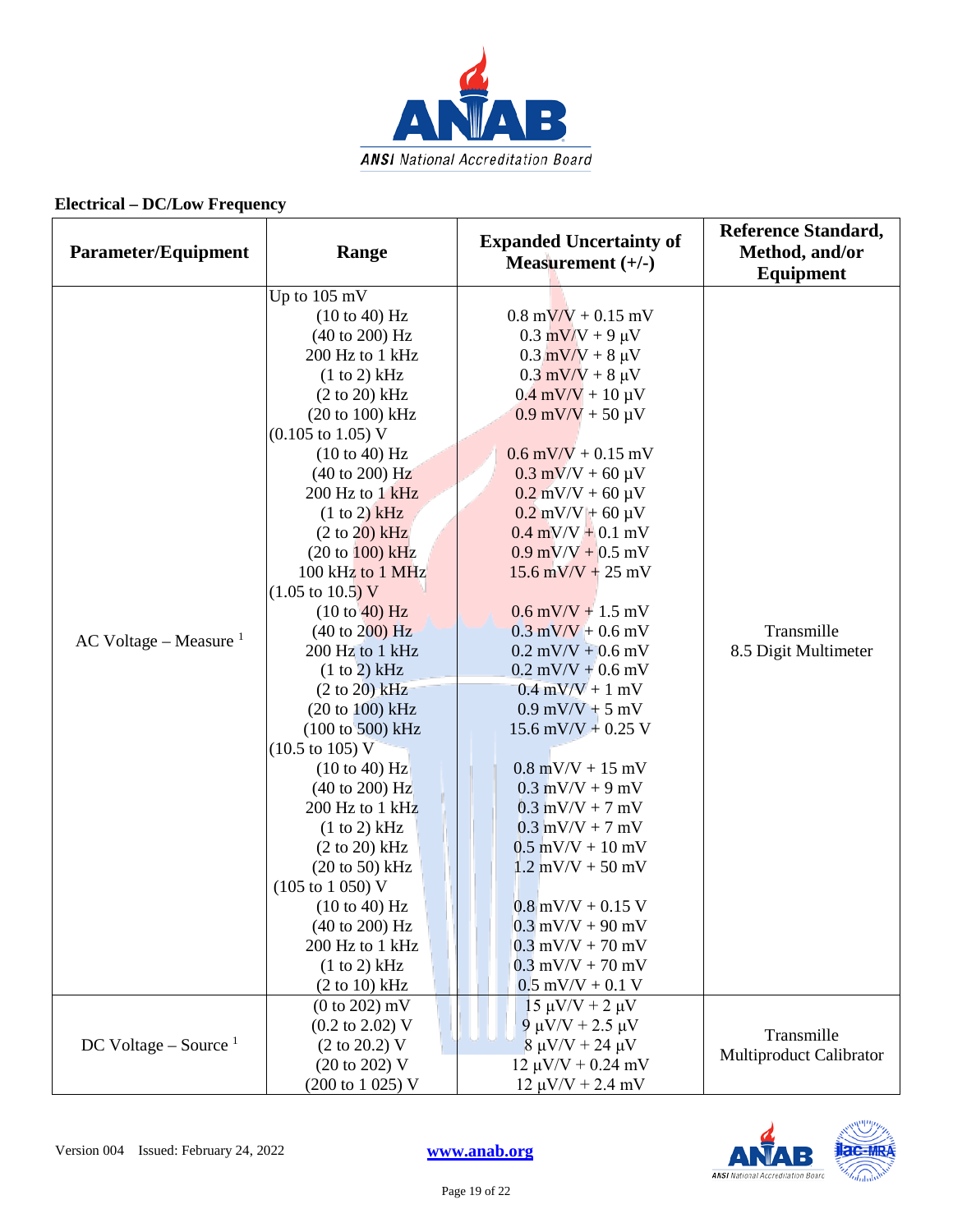

| Parameter/Equipment      | Range                                | <b>Expanded Uncertainty of</b><br>Measurement $(+/-)$ | <b>Reference Standard,</b><br>Method, and/or<br>Equipment |
|--------------------------|--------------------------------------|-------------------------------------------------------|-----------------------------------------------------------|
|                          | Up to 105 mV                         |                                                       |                                                           |
|                          | (10 to 40) Hz                        | $0.8 \text{ mV/V} + 0.15 \text{ mV}$                  |                                                           |
|                          | (40 to 200) Hz                       | $0.3$ mV/V + 9 $\mu$ V                                |                                                           |
|                          | 200 Hz to 1 kHz                      | $0.3$ mV/V + 8 $\mu$ V                                |                                                           |
|                          | (1 to 2) kHz                         | $0.3$ mV/V + 8 $\mu$ V                                |                                                           |
|                          | $(2 to 20)$ kHz                      | $0.4$ mV/V + 10 $\mu$ V                               |                                                           |
|                          | $(20 to 100)$ kHz                    | $0.9$ mV/V + 50 $\mu$ V                               |                                                           |
|                          | $(0.105 \text{ to } 1.05) \text{ V}$ |                                                       |                                                           |
|                          | (10 to 40) Hz                        | $0.6$ mV/V + 0.15 mV                                  |                                                           |
|                          | $(40 \text{ to } 200) \text{ Hz}$    | $0.3$ mV/V + 60 $\mu$ V                               |                                                           |
|                          | 200 Hz to 1 kHz                      | $0.2$ mV/V + 60 $\mu$ V                               |                                                           |
|                          | (1 to 2) kHz                         | $0.2$ mV/V + 60 µV                                    |                                                           |
|                          | $(2 \text{ to } 20)$ kHz             | $0.4$ mV/V + 0.1 mV                                   |                                                           |
|                          | (20 to 100) kHz                      | $0.9$ mV/V + $0.5$ mV                                 |                                                           |
|                          | 100 kHz to 1 MHz                     | $15.6$ mV/V + 25 mV                                   |                                                           |
|                          | $(1.05 \text{ to } 10.5) \text{ V}$  |                                                       |                                                           |
|                          | (10 to 40) Hz                        | $0.6$ mV/V + 1.5 mV                                   | Transmille<br>8.5 Digit Multimeter                        |
| AC Voltage – Measure $1$ | $(40 \text{ to } 200) \text{ Hz}$    | $0.3$ mV/V + 0.6 mV                                   |                                                           |
|                          | 200 Hz to 1 kHz                      | $0.2$ mV/V + 0.6 mV                                   |                                                           |
|                          | (1 to 2) kHz                         | $0.2$ mV/V + 0.6 mV                                   |                                                           |
|                          | $(2 to 20)$ kHz                      | $0.4$ mV/V + 1 mV                                     |                                                           |
|                          | (20 to 100) kHz                      | $0.9$ mV/V + 5 mV                                     |                                                           |
|                          | $(100 \text{ to } 500) \text{ kHz}$  | 15.6 mV/V + 0.25 V                                    |                                                           |
|                          | $(10.5 \text{ to } 105) \text{ V}$   |                                                       |                                                           |
|                          | (10 to 40) Hz                        | $0.8$ mV/V + 15 mV                                    |                                                           |
|                          | $(40 \text{ to } 200) \text{ Hz}$    | $0.3$ mV/V + 9 mV                                     |                                                           |
|                          | 200 Hz to 1 kHz                      | $0.3$ mV/V + 7 mV                                     |                                                           |
|                          | (1 to 2) kHz                         | $0.3$ mV/V + 7 mV                                     |                                                           |
|                          | $(2 \text{ to } 20) \text{ kHz}$     | $0.5$ mV/V + 10 mV                                    |                                                           |
|                          | $(20 \text{ to } 50)$ kHz            | $1.2$ mV/V + 50 mV                                    |                                                           |
|                          | $(105 \text{ to } 1050) \text{ V}$   |                                                       |                                                           |
|                          | (10 to 40) Hz                        | $0.8$ mV/V + 0.15 V                                   |                                                           |
|                          | (40 to 200) Hz                       | $0.3$ mV/V + 90 mV                                    |                                                           |
|                          | 200 Hz to 1 kHz                      | $0.3$ mV/V + 70 mV                                    |                                                           |
|                          | (1 to 2) kHz                         | $0.3$ mV/V + 70 mV                                    |                                                           |
|                          | (2 to 10) kHz                        | $0.5$ mV/V + 0.1 V                                    |                                                           |
|                          | (0 to 202) mV                        | $15 \mu V/V + 2 \mu V$                                |                                                           |
|                          | $(0.2 \text{ to } 2.02)$ V           | 9 μV/V + 2.5 μV                                       | Transmille                                                |
| DC Voltage – Source $1$  | $(2 \text{ to } 20.2)$ V             | $8 \mu V/V + 24 \mu V$                                | Multiproduct Calibrator                                   |
|                          | (20 to 202) V                        | $12 \mu V/V + 0.24 \ mV$                              |                                                           |
|                          | (200 to 1 025) V                     | $12 \mu V/V + 2.4 \ mV$                               |                                                           |

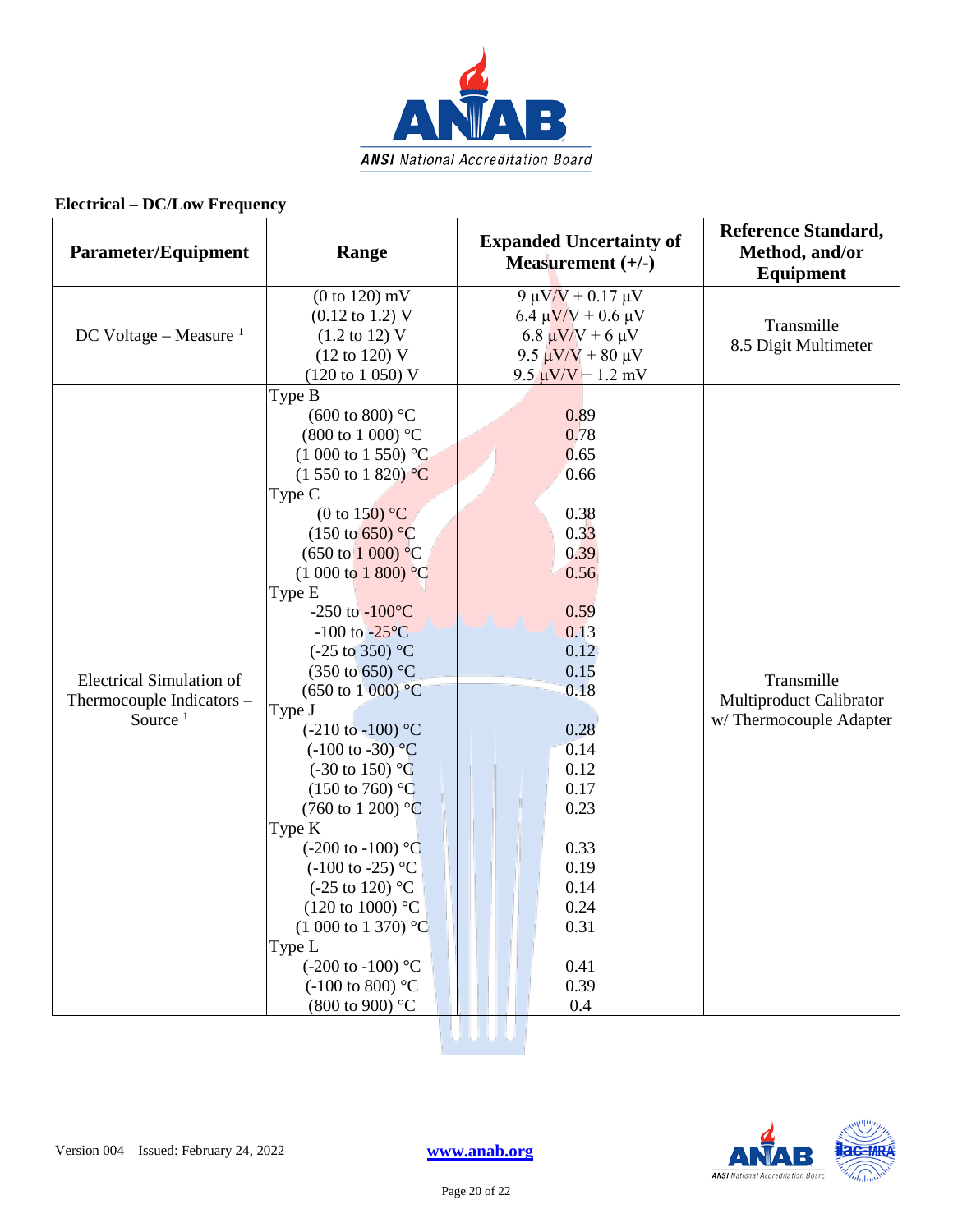

| <b>Parameter/Equipment</b>                                                 | Range                                                                                                                                                                                                                                                                                                                                                                                                                                                                                                                                                                                                                                                                                                                                                                                                                                                                          | <b>Expanded Uncertainty of</b><br>Measurement $(+/-)$                                                                                                                                                | <b>Reference Standard,</b><br>Method, and/or<br>Equipment       |
|----------------------------------------------------------------------------|--------------------------------------------------------------------------------------------------------------------------------------------------------------------------------------------------------------------------------------------------------------------------------------------------------------------------------------------------------------------------------------------------------------------------------------------------------------------------------------------------------------------------------------------------------------------------------------------------------------------------------------------------------------------------------------------------------------------------------------------------------------------------------------------------------------------------------------------------------------------------------|------------------------------------------------------------------------------------------------------------------------------------------------------------------------------------------------------|-----------------------------------------------------------------|
| DC Voltage – Measure $1$                                                   | $(0 to 120)$ mV<br>$(0.12 \text{ to } 1.2) \text{ V}$<br>$(1.2 \text{ to } 12) \text{ V}$<br>$(12 \text{ to } 120) \text{ V}$<br>(120 to 1 050) V                                                                                                                                                                                                                                                                                                                                                                                                                                                                                                                                                                                                                                                                                                                              | 9 μV/V + 0.17 μV<br>6.4 $\mu$ V/V + 0.6 $\mu$ V<br>6.8 $\mu$ V/V + 6 $\mu$ V<br>9.5 $\mu$ V/V + 80 μV<br>$9.5 \mu V/V + 1.2 \ mV$                                                                    | Transmille<br>8.5 Digit Multimeter                              |
| <b>Electrical Simulation of</b><br>Thermocouple Indicators -<br>Source $1$ | Type B<br>(600 to 800) $^{\circ}$ C<br>$(800 \text{ to } 1000)$ °C<br>$(1000 \text{ to } 1550)$ °C<br>$(1\,550\,\text{to}\,1\,820)\,\text{°C}$<br>Type C<br>(0 to 150) $^{\circ}$ C<br>$(150 \text{ to } 650)$ °C<br>$(650 \text{ to } 1000) \text{ °C}$<br>$(1000 \text{ to } 1800)$ °C<br>Type E<br>-250 to $-100^{\circ}$ C<br>$-100$ to $-25\degree C$<br>$(-25 \text{ to } 350)$ °C<br>(350 to 650) °C<br>$(650 \text{ to } 1000) \text{ °C}$<br>Type J<br>$(-210 \text{ to } -100)$ °C<br>$(-100 \text{ to } -30)^{\circ}C$<br>$(-30 \text{ to } 150)$ °C<br>$(150 \text{ to } 760)$ °C<br>$(760 \text{ to } 1200)$ °C<br>Type K<br>$(-200 \text{ to } -100)$ °C<br>$(-100 \text{ to } -25)$ °C<br>$(-25 \text{ to } 120)$ °C<br>(120 to 1000) $^{\circ}$ C<br>$(1\ 000\ \text{to}\ 1\ 370)$ °C<br>Type L<br>$(-200 \text{ to } -100)$ °C<br>$(-100 \text{ to } 800)$ °C | 0.89<br>0.78<br>0.65<br>0.66<br>0.38<br>0.33<br>0.39<br>0.56<br>0.59<br>0.13<br>0.12<br>0.15<br>0.18<br>0.28<br>0.14<br>0.12<br>0.17<br>0.23<br>0.33<br>0.19<br>0.14<br>0.24<br>0.31<br>0.41<br>0.39 | Transmille<br>Multiproduct Calibrator<br>w/Thermocouple Adapter |
|                                                                            | (800 to 900) °C                                                                                                                                                                                                                                                                                                                                                                                                                                                                                                                                                                                                                                                                                                                                                                                                                                                                | 0.4                                                                                                                                                                                                  |                                                                 |

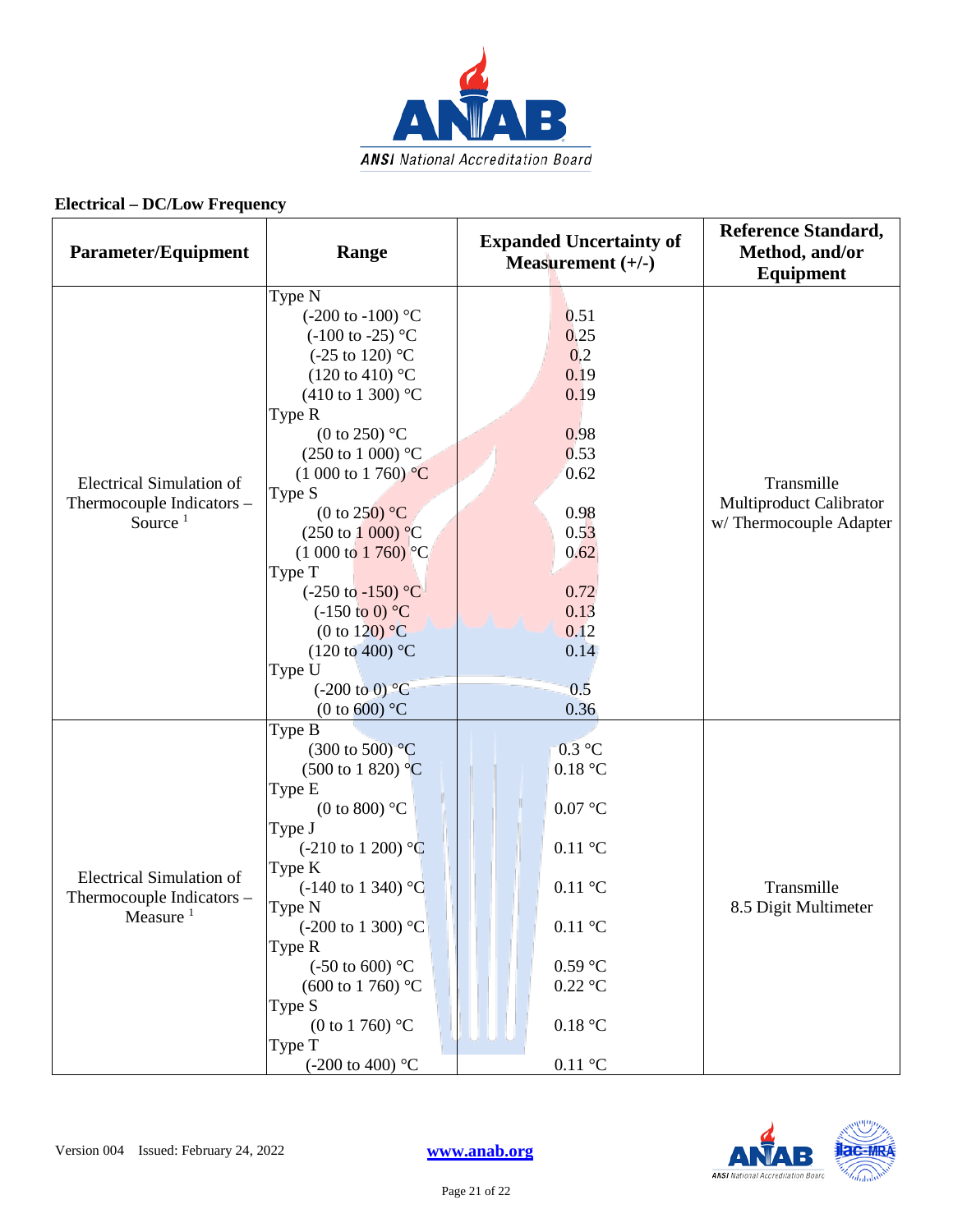

| Parameter/Equipment                                                         | Range                                                                                                                                                                                                                                                                                                                                                                                                                                                                                                                                                                                       | <b>Expanded Uncertainty of</b><br>Measurement $(+/-)$                                                                                                              | <b>Reference Standard,</b><br>Method, and/or<br><b>Equipment</b> |
|-----------------------------------------------------------------------------|---------------------------------------------------------------------------------------------------------------------------------------------------------------------------------------------------------------------------------------------------------------------------------------------------------------------------------------------------------------------------------------------------------------------------------------------------------------------------------------------------------------------------------------------------------------------------------------------|--------------------------------------------------------------------------------------------------------------------------------------------------------------------|------------------------------------------------------------------|
| <b>Electrical Simulation of</b><br>Thermocouple Indicators -<br>Source $1$  | Type N<br>$(-200 \text{ to } -100)$ °C<br>$(-100 \text{ to } -25)$ °C<br>$(-25 \text{ to } 120)$ °C<br>$(120 \text{ to } 410)$ °C<br>$(410 \text{ to } 1300)$ °C<br>Type R<br>(0 to 250) $\mathrm{^{\circ}C}$<br>$(250 \text{ to } 1000)$ °C<br>$(1\ 000\ \text{to}\ 1\ 760)$ °C<br>Type S<br>(0 to 250) $^{\circ}$ C<br>$(250 \text{ to } 1000) \text{ °C}$<br>$(1\ 000\ \text{to}\ 1\ 760)$ °C<br>Type T<br>$(-250 \text{ to } -150)$ °C<br>$(-150 \text{ to } 0)$ °C<br>(0 to 120) $\mathrm{^{\circ}C}$<br>$(120 \text{ to } 400)$ °C<br>Type U<br>$(-200 \text{ to } 0)$ <sup>o</sup> C | 0.51<br>0.25<br>0,2<br>0.19<br>0.19<br>0.98<br>0.53<br>0.62<br>0.98<br>0.53<br>0.62<br>0.72<br>0.13<br>0.12<br>0.14<br>0.5                                         | Transmille<br>Multiproduct Calibrator<br>w/Thermocouple Adapter  |
| <b>Electrical Simulation of</b><br>Thermocouple Indicators -<br>Measure $1$ | (0 to 600) $^{\circ}$ C<br>Type B<br>$(300 \text{ to } 500)$ <sup>o</sup> C<br>$(500 \text{ to } 1820)$ °C<br>Type E<br>(0 to 800) $^{\circ}$ C<br>Type J<br>$(-210 \text{ to } 1200)$ °C<br>Type K<br>$(-140 \text{ to } 1340)$ °C<br>Type N<br>$(-200 \text{ to } 1300)$ °C<br>Type R<br>$(-50 \text{ to } 600)$ °C<br>$(600 \text{ to } 1760)$ °C<br>Type S<br>(0 to 1 760) $^{\circ}$ C<br>Type T<br>$(-200 \text{ to } 400)$ °C                                                                                                                                                        | 0.36<br>$0.3$ °C<br>0.18 °C<br>0.07 °C<br>$0.11\text{ °C}$<br>$0.11\text{ °C}$<br>$0.11\text{ °C}$<br>$0.59$ °C<br>$0.22$ °C<br>0.18 °C<br>$0.11\text{ }^{\circ}C$ | Transmille<br>8.5 Digit Multimeter                               |